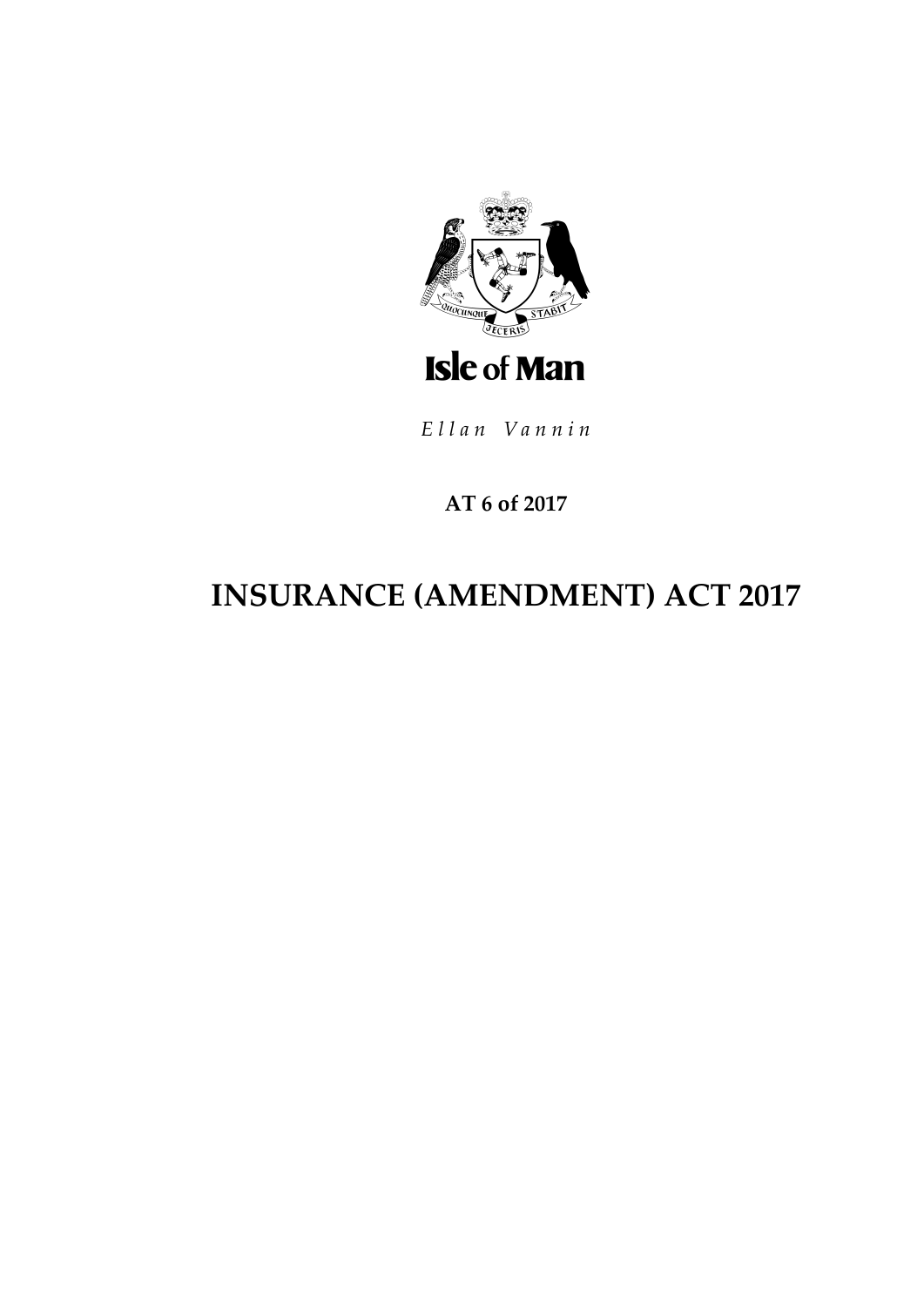

Ellan Vannin

# **AT 6 of 2017**

# **INSURANCE (AMENDMENT) ACT 2017**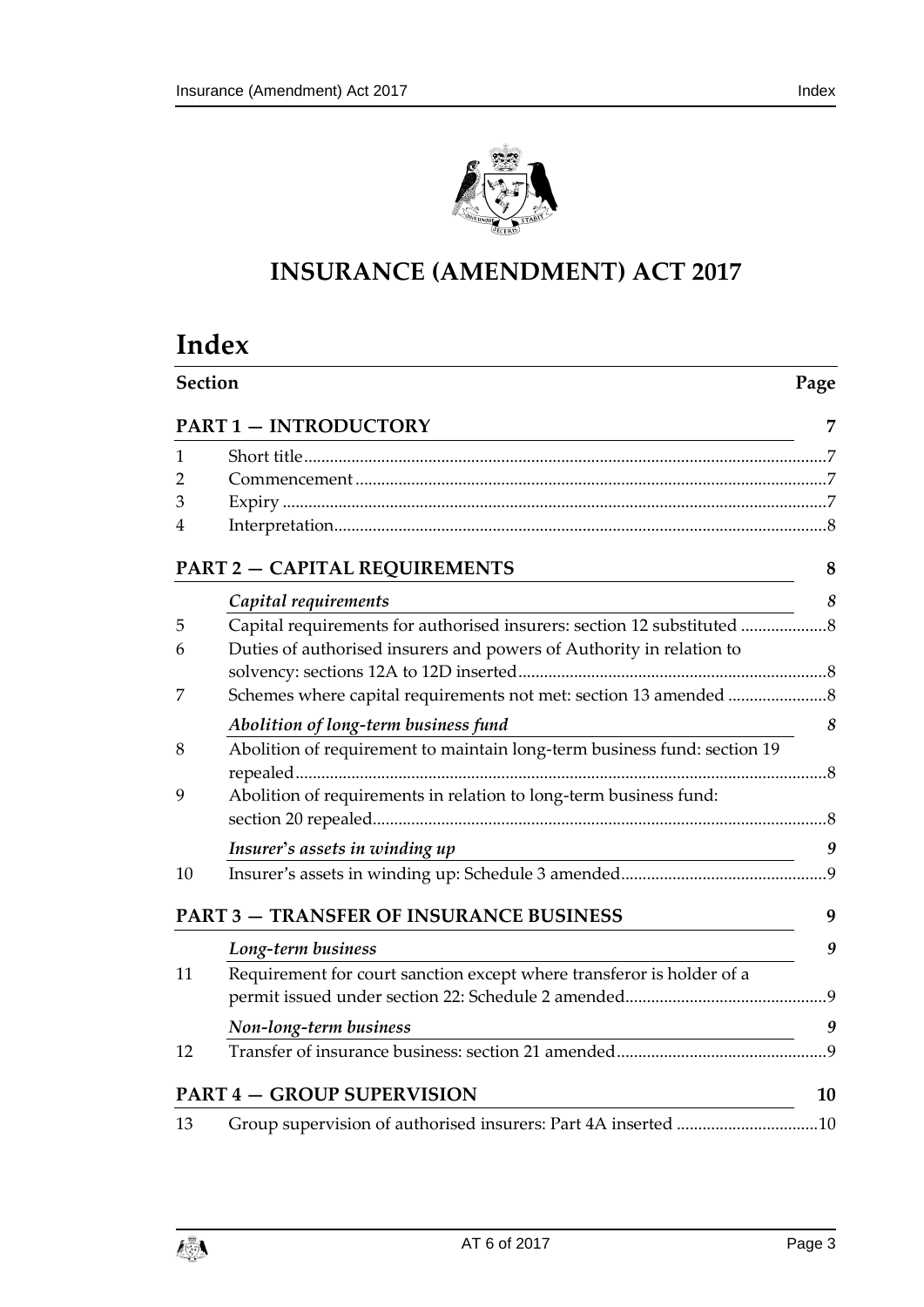

# **INSURANCE (AMENDMENT) ACT 2017**

# **Index**

|    | Section<br>Page                                                          |                  |  |
|----|--------------------------------------------------------------------------|------------------|--|
|    | <b>PART 1 - INTRODUCTORY</b>                                             | 7                |  |
| 1  |                                                                          |                  |  |
| 2  |                                                                          |                  |  |
| 3  |                                                                          |                  |  |
| 4  |                                                                          |                  |  |
|    | <b>PART 2 - CAPITAL REQUIREMENTS</b>                                     | 8                |  |
|    | Capital requirements                                                     | 8                |  |
| 5  | Capital requirements for authorised insurers: section 12 substituted  8  |                  |  |
| 6  | Duties of authorised insurers and powers of Authority in relation to     |                  |  |
|    |                                                                          |                  |  |
| 7  |                                                                          |                  |  |
|    | Abolition of long-term business fund                                     | 8                |  |
| 8  | Abolition of requirement to maintain long-term business fund: section 19 |                  |  |
|    |                                                                          |                  |  |
| 9  | Abolition of requirements in relation to long-term business fund:        |                  |  |
|    | Insurer's assets in winding up                                           | $\boldsymbol{9}$ |  |
| 10 |                                                                          |                  |  |
|    | <b>PART 3 - TRANSFER OF INSURANCE BUSINESS</b>                           | 9                |  |
|    | Long-term business                                                       | 9                |  |
| 11 | Requirement for court sanction except where transferor is holder of a    |                  |  |
|    |                                                                          |                  |  |
|    | Non-long-term business                                                   | 9                |  |
| 12 |                                                                          |                  |  |
|    | <b>PART 4 - GROUP SUPERVISION</b>                                        | 10               |  |
| 13 | Group supervision of authorised insurers: Part 4A inserted 10            |                  |  |

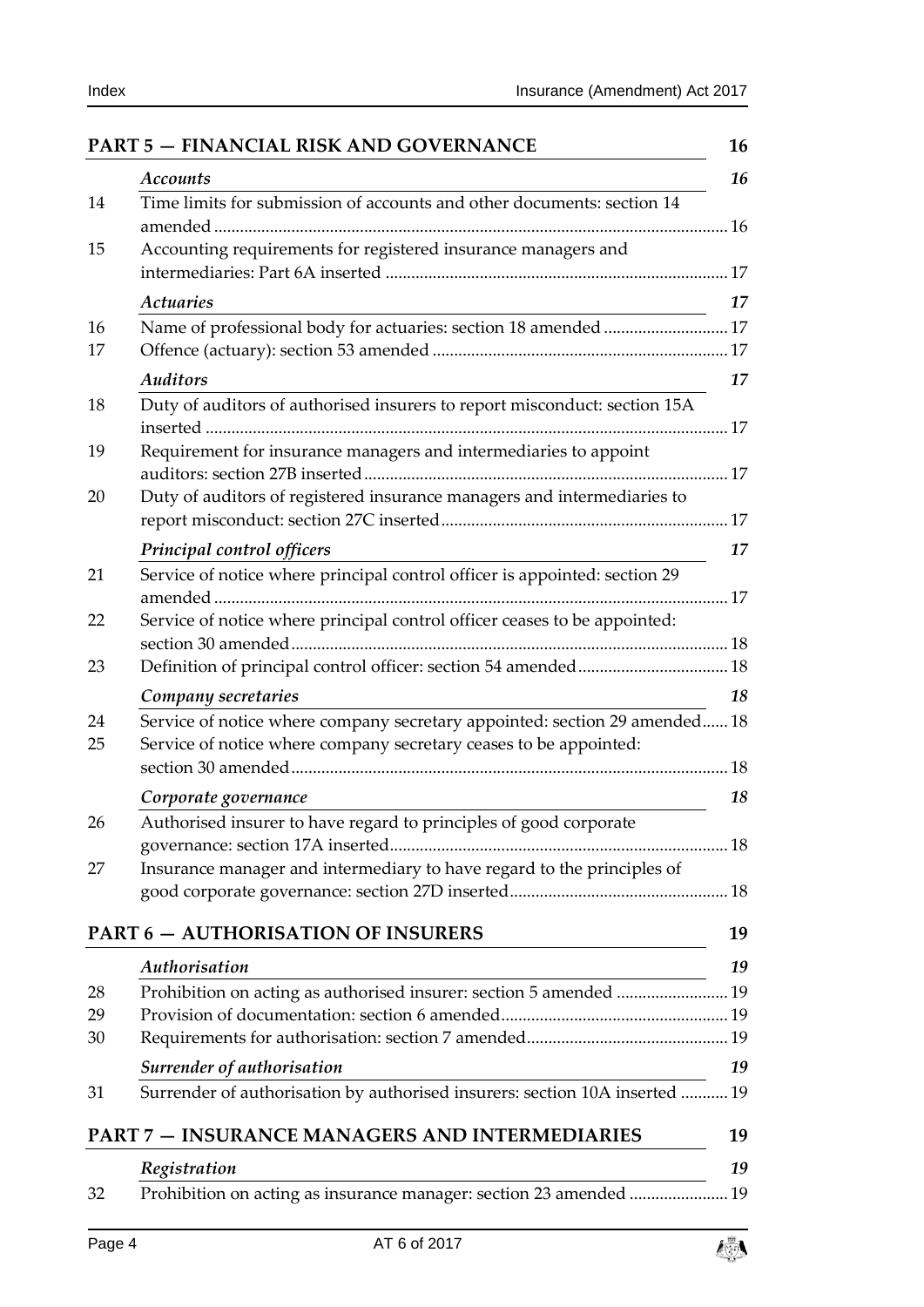|    | <b>Accounts</b>                                                            |
|----|----------------------------------------------------------------------------|
| 14 | Time limits for submission of accounts and other documents: section 14     |
| 15 | Accounting requirements for registered insurance managers and              |
|    | <b>Actuaries</b>                                                           |
| 16 | Name of professional body for actuaries: section 18 amended  17            |
| 17 |                                                                            |
|    | <b>Auditors</b>                                                            |
| 18 | Duty of auditors of authorised insurers to report misconduct: section 15A  |
| 19 | Requirement for insurance managers and intermediaries to appoint           |
| 20 | Duty of auditors of registered insurance managers and intermediaries to    |
|    | Principal control officers                                                 |
| 21 | Service of notice where principal control officer is appointed: section 29 |
| 22 | Service of notice where principal control officer ceases to be appointed:  |
| 23 |                                                                            |
|    | Company secretaries                                                        |
| 24 | Service of notice where company secretary appointed: section 29 amended 18 |
| 25 | Service of notice where company secretary ceases to be appointed:          |
|    | Corporate governance                                                       |
| 26 | Authorised insurer to have regard to principles of good corporate          |
|    |                                                                            |
| 27 | Insurance manager and intermediary to have regard to the principles of     |
|    | <b>PART 6 - AUTHORISATION OF INSURERS</b>                                  |
|    | Authorisation                                                              |
| 28 | Prohibition on acting as authorised insurer: section 5 amended  19         |
| 29 |                                                                            |
| 30 |                                                                            |
|    | Surrender of authorisation                                                 |
| 31 | Surrender of authorisation by authorised insurers: section 10A inserted    |
|    | <b>PART 7 - INSURANCE MANAGERS AND INTERMEDIARIES</b>                      |
|    | Registration                                                               |
| 32 | Prohibition on acting as insurance manager: section 23 amended  19         |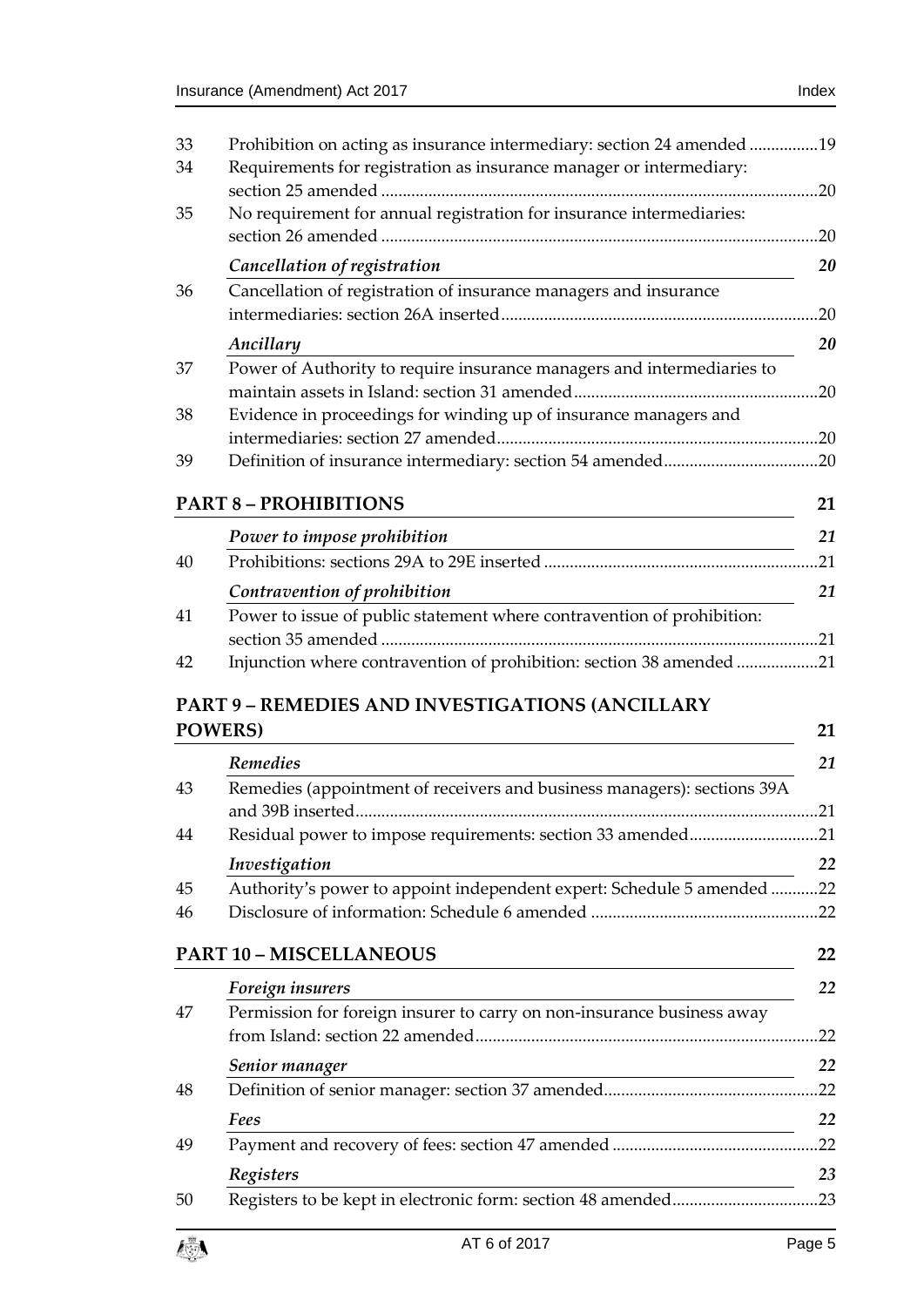| 33              | Prohibition on acting as insurance intermediary: section 24 amended 19                                                                                |     |
|-----------------|-------------------------------------------------------------------------------------------------------------------------------------------------------|-----|
| 34              | Requirements for registration as insurance manager or intermediary:                                                                                   |     |
| 35              | No requirement for annual registration for insurance intermediaries:                                                                                  |     |
|                 |                                                                                                                                                       | .20 |
|                 | Cancellation of registration                                                                                                                          | 20  |
| 36              | Cancellation of registration of insurance managers and insurance                                                                                      |     |
|                 |                                                                                                                                                       | .20 |
|                 | Ancillary                                                                                                                                             | 20  |
| 37              | Power of Authority to require insurance managers and intermediaries to                                                                                |     |
| 38              | Evidence in proceedings for winding up of insurance managers and                                                                                      |     |
|                 |                                                                                                                                                       |     |
| 39              |                                                                                                                                                       |     |
|                 |                                                                                                                                                       |     |
|                 | <b>PART 8 - PROHIBITIONS</b>                                                                                                                          | 21  |
|                 | Power to impose prohibition<br><u> 1989 - Johann Stoff, deutscher Stoffen und der Stoffen und der Stoffen und der Stoffen und der Stoffen und der</u> | 21  |
| 40              |                                                                                                                                                       | .21 |
|                 | Contravention of prohibition                                                                                                                          | 21  |
| 41              | Power to issue of public statement where contravention of prohibition:                                                                                |     |
| 42              | Injunction where contravention of prohibition: section 38 amended 21                                                                                  |     |
|                 |                                                                                                                                                       |     |
| <b>POWERS</b> ) | <b>PART 9 - REMEDIES AND INVESTIGATIONS (ANCILLARY</b>                                                                                                | 21  |
|                 | <b>Remedies</b>                                                                                                                                       | 21  |
| 43              | Remedies (appointment of receivers and business managers): sections 39A                                                                               |     |
|                 |                                                                                                                                                       | .21 |
| 44              | Residual power to impose requirements: section 33 amended21                                                                                           |     |
| 45              | Investigation                                                                                                                                         | 22  |
| 46              | Authority's power to appoint independent expert: Schedule 5 amended 22                                                                                |     |
|                 |                                                                                                                                                       |     |
|                 | <b>PART 10 - MISCELLANEOUS</b>                                                                                                                        | 22  |
|                 | Foreign insurers                                                                                                                                      | 22  |
| 47              | Permission for foreign insurer to carry on non-insurance business away                                                                                |     |
|                 |                                                                                                                                                       |     |
|                 | Senior manager                                                                                                                                        | 22  |
| 48              |                                                                                                                                                       |     |
|                 | Fees                                                                                                                                                  | 22  |
| 49              |                                                                                                                                                       |     |
| 50              | Registers                                                                                                                                             | 23  |

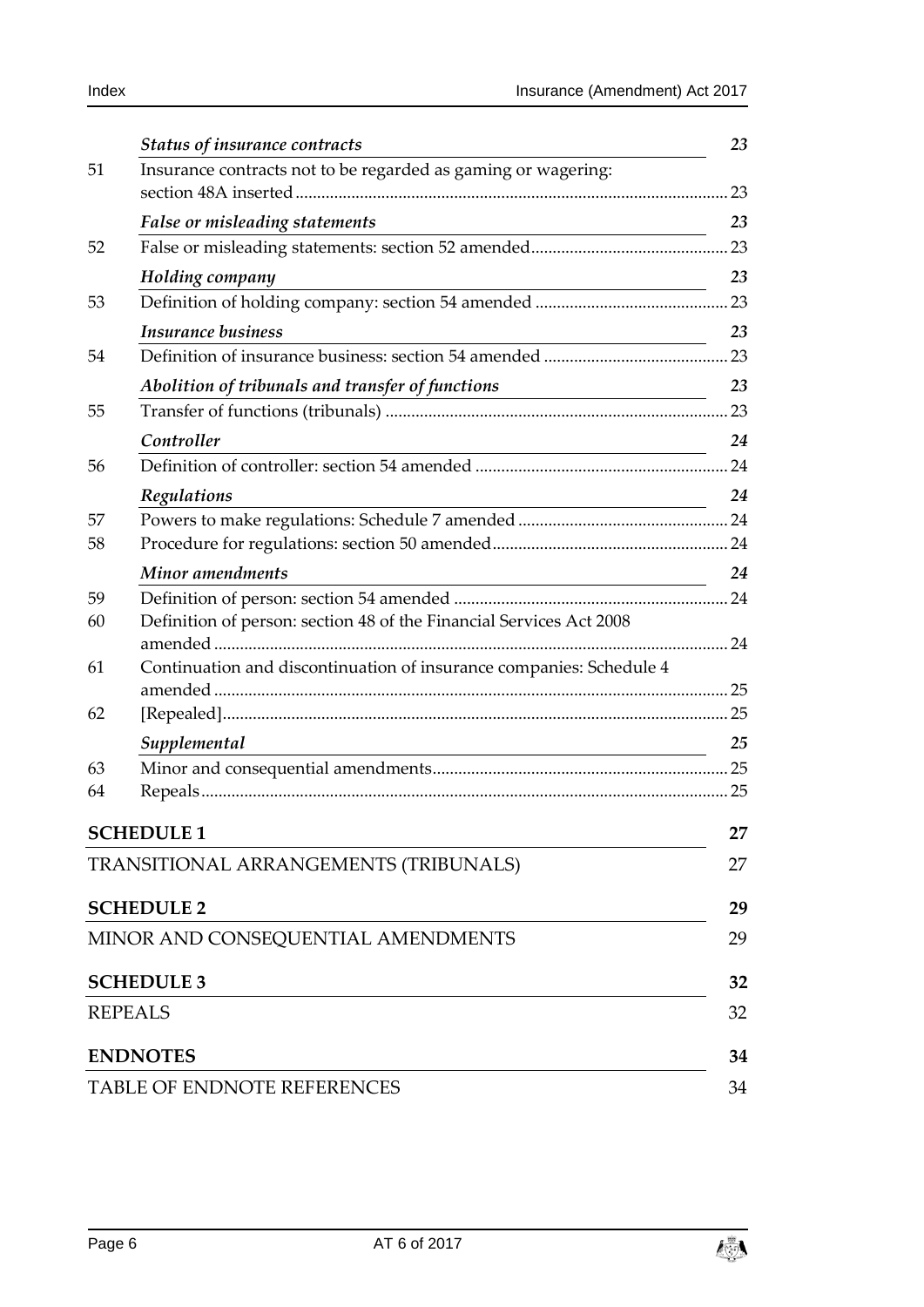|    | <b>Status of insurance contracts</b>                                                                | 23  |
|----|-----------------------------------------------------------------------------------------------------|-----|
| 51 | Insurance contracts not to be regarded as gaming or wagering:                                       |     |
|    |                                                                                                     | 23  |
|    | False or misleading statements<br><u> 1989 - Johann Barn, mars an t-Amerikaansk kommunister (</u>   | 23  |
| 52 |                                                                                                     | .23 |
|    | Holding company                                                                                     | 23  |
| 53 |                                                                                                     |     |
|    | <b>Insurance business</b>                                                                           | 23  |
| 54 |                                                                                                     |     |
|    | Abolition of tribunals and transfer of functions<br><u> 1989 - Johann Barnett, fransk politik (</u> | 23  |
| 55 |                                                                                                     | 23  |
|    | Controller<br><u> 1980 - Johann Barn, mars an t-Amerikaansk politiker (</u>                         | 24  |
| 56 |                                                                                                     |     |
|    | Regulations                                                                                         | 24  |
| 57 |                                                                                                     |     |
| 58 |                                                                                                     |     |
|    | Minor amendments                                                                                    | 24  |
| 59 |                                                                                                     |     |
| 60 | Definition of person: section 48 of the Financial Services Act 2008                                 | .24 |
| 61 | Continuation and discontinuation of insurance companies: Schedule 4                                 |     |
|    |                                                                                                     |     |
| 62 |                                                                                                     |     |
|    | Supplemental<br><u> 1980 - Andrea Andrew Maria (h. 1980).</u>                                       | 25  |
| 63 |                                                                                                     |     |
| 64 |                                                                                                     |     |
|    | <b>SCHEDULE 1</b>                                                                                   | 27  |
|    | TRANSITIONAL ARRANGEMENTS (TRIBUNALS)                                                               | 27  |
|    |                                                                                                     |     |
|    | <b>SCHEDULE 2</b>                                                                                   | 29  |
|    | MINOR AND CONSEQUENTIAL AMENDMENTS                                                                  | 29  |
|    |                                                                                                     |     |
|    | <b>SCHEDULE 3</b>                                                                                   | 32  |
|    | <b>REPEALS</b>                                                                                      | 32  |
|    | <b>ENDNOTES</b>                                                                                     | 34  |
|    | TABLE OF ENDNOTE REFERENCES                                                                         | 34  |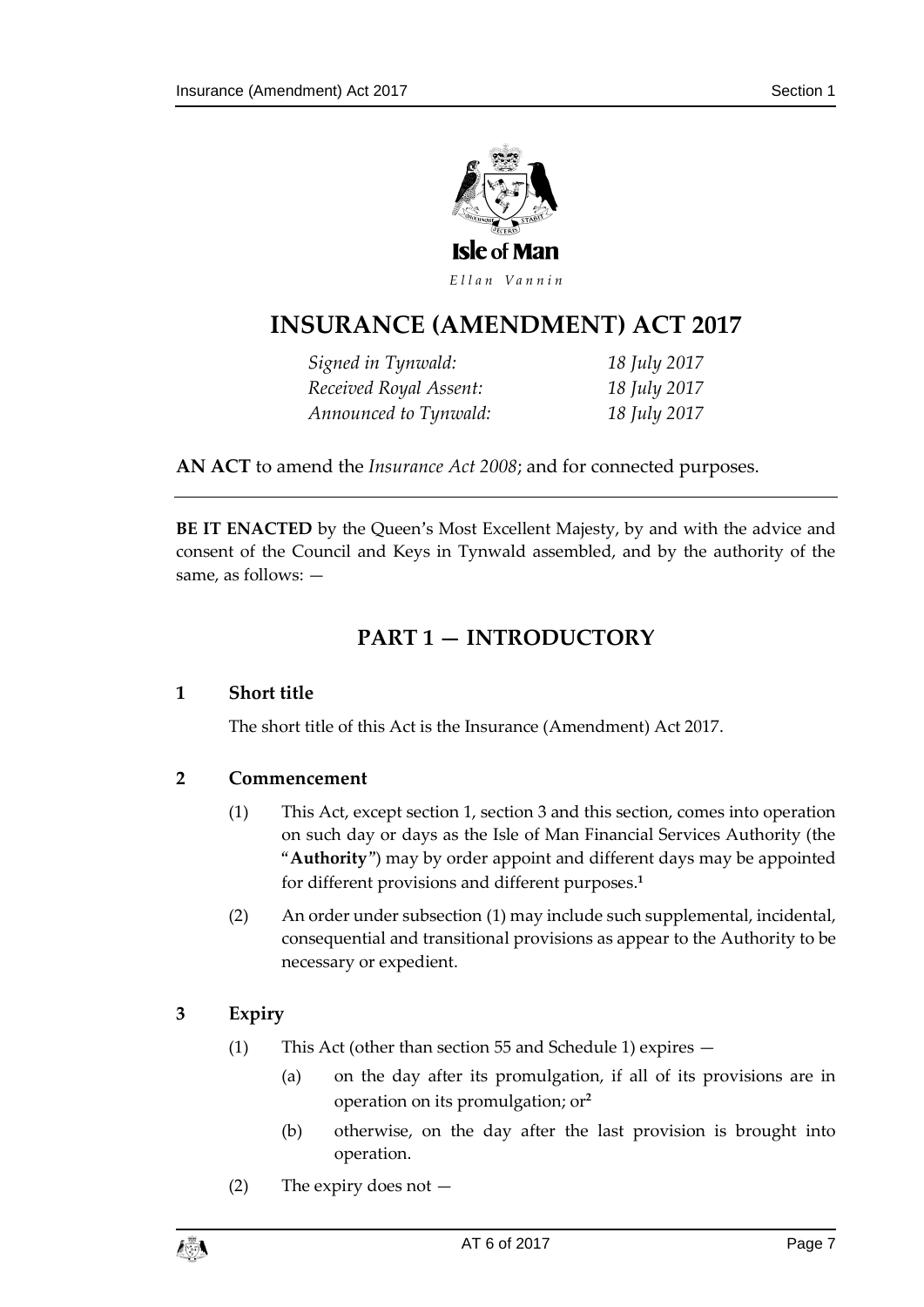

Ellan Vannin

# **INSURANCE (AMENDMENT ) ACT 2017**

*Signed in Tynwald: 18 July 2017 Received Royal Assent: 18 July 2017 Announced to Tynwald: 18 July 2017*

**AN ACT** to amend the *Insurance Act 2008*; and for connected purposes.

<span id="page-6-0"></span>**BE IT ENACTED** by the Queen's Most Excellent Majesty, by and with the advice and consent of the Council and Keys in Tynwald assembled, and by the authority of the same, as follows: —

# **PART 1 — INTRODUCTORY**

### <span id="page-6-1"></span>**1 Short title**

The short title of this Act is the Insurance (Amendment) Act 2017.

### <span id="page-6-2"></span>**2 Commencement**

- (1) This Act, except section [1,](#page-6-1) section [3](#page-6-3) and this section, comes into operation on such day or days as the Isle of Man Financial Services Authority (the "**Authority**") may by order appoint and different days may be appointed for different provisions and different purposes. **1**
- (2) An order under subsection (1) may include such supplemental, incidental, consequential and transitional provisions as appear to the Authority to be necessary or expedient.

### <span id="page-6-3"></span>**3 Expiry**

- (1) This Act (other than section [55](#page-22-11) and Schedule 1) expires
	- (a) on the day after its promulgation, if all of its provisions are in operation on its promulgation; or**<sup>2</sup>**
	- (b) otherwise, on the day after the last provision is brought into operation.
- (2) The expiry does not —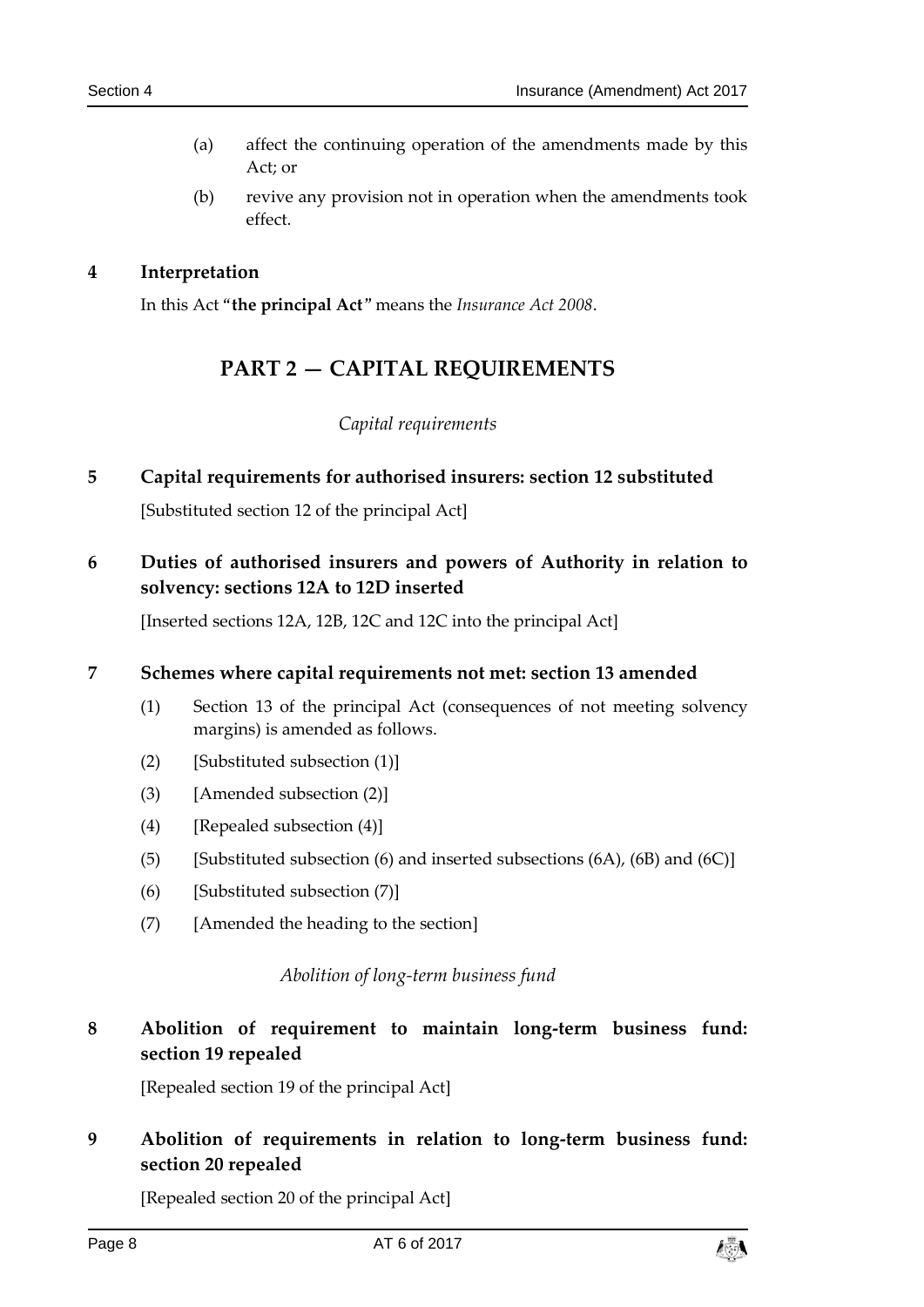- (a) affect the continuing operation of the amendments made by this Act; or
- (b) revive any provision not in operation when the amendments took effect.

### <span id="page-7-1"></span><span id="page-7-0"></span>**4 Interpretation**

In this Act "**the principal Act**" means the *Insurance Act 2008*.

# **PART 2 — CAPITAL REQUIREMENTS**

### *Capital requirements*

<span id="page-7-3"></span><span id="page-7-2"></span>**5 Capital requirements for authorised insurers: section 12 substituted**

[Substituted section 12 of the principal Act]

<span id="page-7-4"></span>**6 Duties of authorised insurers and powers of Authority in relation to solvency: sections 12A to 12D inserted**

[Inserted sections 12A, 12B, 12C and 12C into the principal Act]

### <span id="page-7-5"></span>**7 Schemes where capital requirements not met: section 13 amended**

- (1) Section 13 of the principal Act (consequences of not meeting solvency margins) is amended as follows.
- (2) [Substituted subsection  $(1)$ ]
- (3) [Amended subsection (2)]
- (4) [Repealed subsection (4)]
- (5) [Substituted subsection (6) and inserted subsections  $(6A)$ ,  $(6B)$  and  $(6C)$ ]
- (6) [Substituted subsection (7)]
- <span id="page-7-6"></span>(7) [Amended the heading to the section]

### *Abolition of long-term business fund*

# <span id="page-7-7"></span>**8 Abolition of requirement to maintain long-term business fund: section 19 repealed**

[Repealed section 19 of the principal Act]

# <span id="page-7-8"></span>**9 Abolition of requirements in relation to long-term business fund: section 20 repealed**

[Repealed section 20 of the principal Act]

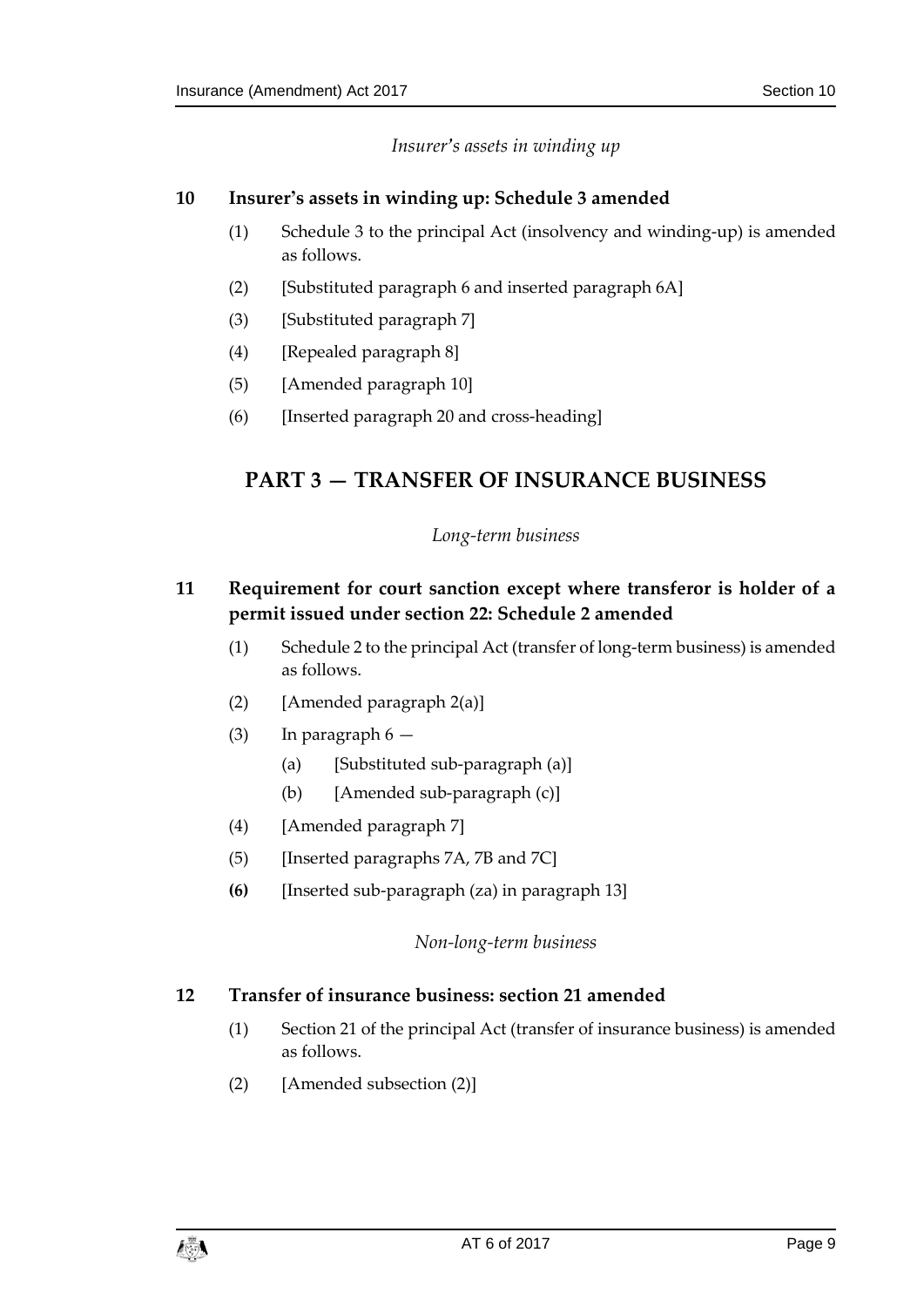*Insurer's assets in winding up*

### <span id="page-8-1"></span><span id="page-8-0"></span>**10 Insurer's assets in winding up: Schedule 3 amended**

- (1) Schedule 3 to the principal Act (insolvency and winding-up) is amended as follows.
- (2) [Substituted paragraph 6 and inserted paragraph 6A]
- (3) [Substituted paragraph 7]
- (4) [Repealed paragraph 8]
- (5) [Amended paragraph 10]
- <span id="page-8-2"></span>(6) [Inserted paragraph 20 and cross-heading]

# <span id="page-8-3"></span>**PART 3 — TRANSFER OF INSURANCE BUSINESS**

### *Long-term business*

### <span id="page-8-4"></span>**11 Requirement for court sanction except where transferor is holder of a permit issued under section 22: Schedule 2 amended**

- (1) Schedule 2 to the principal Act (transfer of long-term business) is amended as follows.
- (2) [Amended paragraph 2(a)]
- (3) In paragraph  $6 -$ 
	- (a) [Substituted sub-paragraph (a)]
	- (b) [Amended sub-paragraph (c)]
- (4) [Amended paragraph 7]
- (5) [Inserted paragraphs 7A, 7B and 7C]
- <span id="page-8-5"></span>**(6)** [Inserted sub-paragraph (za) in paragraph 13]

### *Non-long-term business*

### <span id="page-8-6"></span>**12 Transfer of insurance business: section 21 amended**

- (1) Section 21 of the principal Act (transfer of insurance business) is amended as follows.
- (2) [Amended subsection (2)]

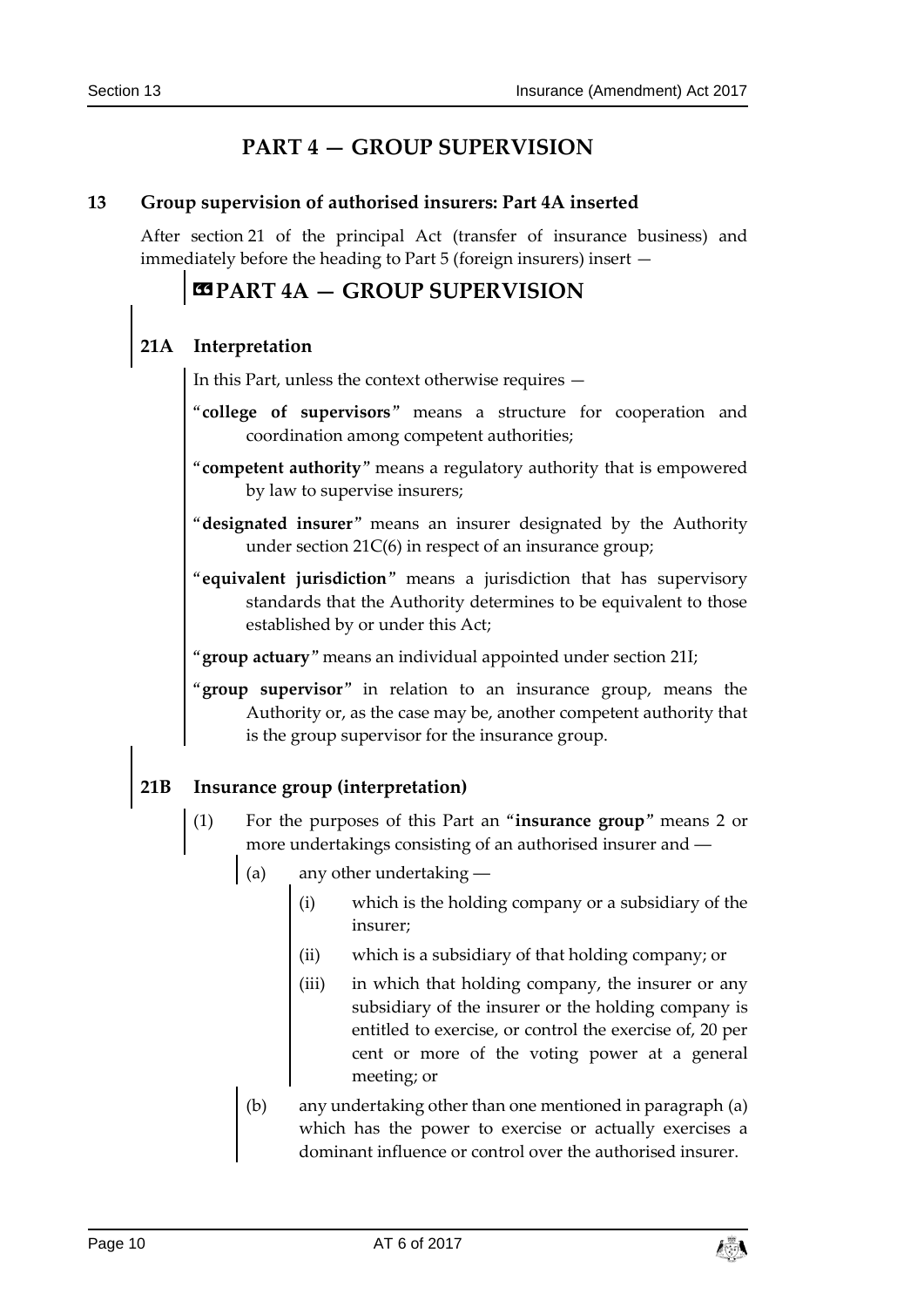# **PART 4 — GROUP SUPERVISION**

### <span id="page-9-1"></span><span id="page-9-0"></span>**13 Group supervision of authorised insurers: Part 4A inserted**

After section 21 of the principal Act (transfer of insurance business) and immediately before the heading to Part 5 (foreign insurers) insert —

# **«PART 4A — GROUP SUPERVISION**

### **21A Interpretation**

In this Part, unless the context otherwise requires —

- "**college of supervisors**" means a structure for cooperation and coordination among competent authorities;
- "**competent authority**" means a regulatory authority that is empowered by law to supervise insurers;
- "**designated insurer**" means an insurer designated by the Authority under section 21C(6) in respect of an insurance group;
- "**equivalent jurisdiction**" means a jurisdiction that has supervisory standards that the Authority determines to be equivalent to those established by or under this Act;
- "**group actuary**" means an individual appointed under section 21I;
- "**group supervisor**" in relation to an insurance group, means the Authority or, as the case may be, another competent authority that is the group supervisor for the insurance group.

### **21B Insurance group (interpretation)**

- (1) For the purposes of this Part an "**insurance group**" means 2 or more undertakings consisting of an authorised insurer and ―
	- (a) any other undertaking ―
		- (i) which is the holding company or a subsidiary of the insurer;
		- (ii) which is a subsidiary of that holding company; or
		- (iii) in which that holding company, the insurer or any subsidiary of the insurer or the holding company is entitled to exercise, or control the exercise of, 20 per cent or more of the voting power at a general meeting; or
	- (b) any undertaking other than one mentioned in paragraph (a) which has the power to exercise or actually exercises a dominant influence or control over the authorised insurer.

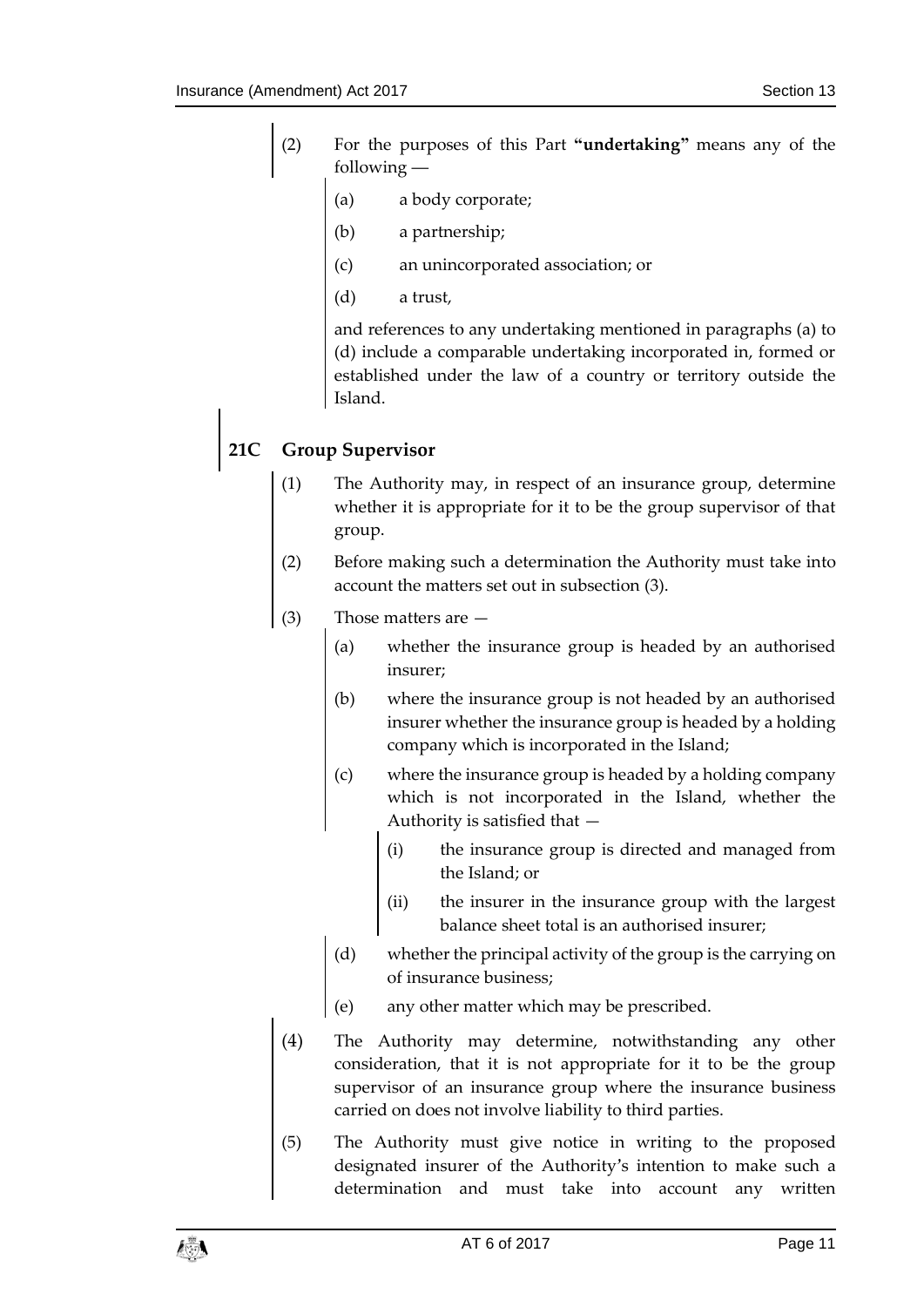- (2) For the purposes of this Part **"undertaking"** means any of the following ―
	- (a) a body corporate;
	- (b) a partnership;
	- (c) an unincorporated association; or
	- (d) a trust,

and references to any undertaking mentioned in paragraphs (a) to (d) include a comparable undertaking incorporated in, formed or established under the law of a country or territory outside the Island.

# **21C Group Supervisor**

- (1) The Authority may, in respect of an insurance group, determine whether it is appropriate for it to be the group supervisor of that group.
- (2) Before making such a determination the Authority must take into account the matters set out in subsection (3).
- (3) Those matters are
	- (a) whether the insurance group is headed by an authorised insurer;
	- (b) where the insurance group is not headed by an authorised insurer whether the insurance group is headed by a holding company which is incorporated in the Island;
	- (c) where the insurance group is headed by a holding company which is not incorporated in the Island, whether the Authority is satisfied that —
		- (i) the insurance group is directed and managed from the Island; or
		- (ii) the insurer in the insurance group with the largest balance sheet total is an authorised insurer;
	- (d) whether the principal activity of the group is the carrying on of insurance business;
	- (e) any other matter which may be prescribed.
- (4) The Authority may determine, notwithstanding any other consideration, that it is not appropriate for it to be the group supervisor of an insurance group where the insurance business carried on does not involve liability to third parties.
- (5) The Authority must give notice in writing to the proposed designated insurer of the Authority's intention to make such a determination and must take into account any written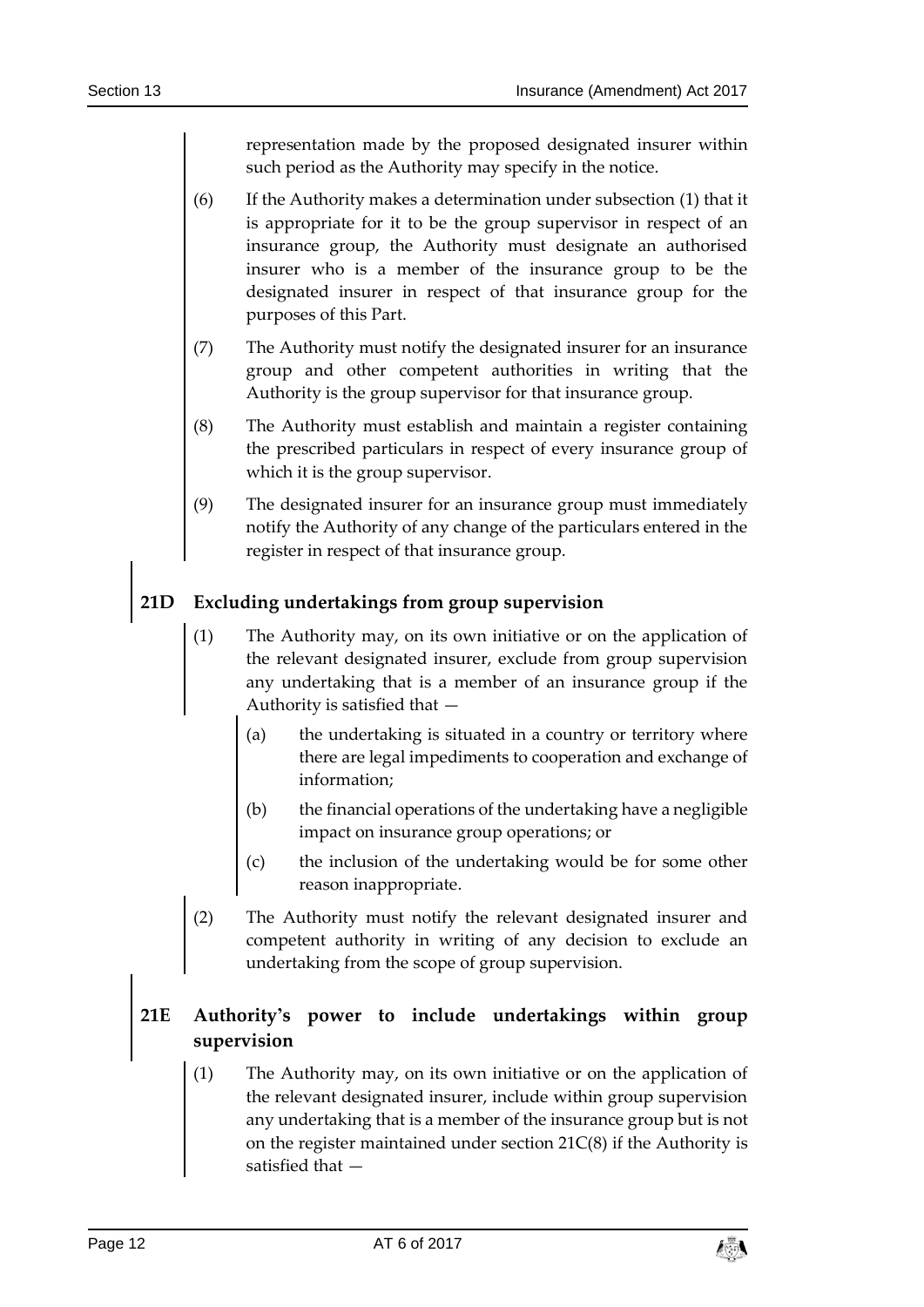representation made by the proposed designated insurer within such period as the Authority may specify in the notice.

- (6) If the Authority makes a determination under subsection (1) that it is appropriate for it to be the group supervisor in respect of an insurance group, the Authority must designate an authorised insurer who is a member of the insurance group to be the designated insurer in respect of that insurance group for the purposes of this Part.
- (7) The Authority must notify the designated insurer for an insurance group and other competent authorities in writing that the Authority is the group supervisor for that insurance group.
- (8) The Authority must establish and maintain a register containing the prescribed particulars in respect of every insurance group of which it is the group supervisor.
- (9) The designated insurer for an insurance group must immediately notify the Authority of any change of the particulars entered in the register in respect of that insurance group.

# **21D Excluding undertakings from group supervision**

- (1) The Authority may, on its own initiative or on the application of the relevant designated insurer, exclude from group supervision any undertaking that is a member of an insurance group if the Authority is satisfied that —
	- (a) the undertaking is situated in a country or territory where there are legal impediments to cooperation and exchange of information;
	- (b) the financial operations of the undertaking have a negligible impact on insurance group operations; or
	- (c) the inclusion of the undertaking would be for some other reason inappropriate.
- (2) The Authority must notify the relevant designated insurer and competent authority in writing of any decision to exclude an undertaking from the scope of group supervision.

### **21E Authority's power to include undertakings within group supervision**

(1) The Authority may, on its own initiative or on the application of the relevant designated insurer, include within group supervision any undertaking that is a member of the insurance group but is not on the register maintained under section 21C(8) if the Authority is satisfied that —

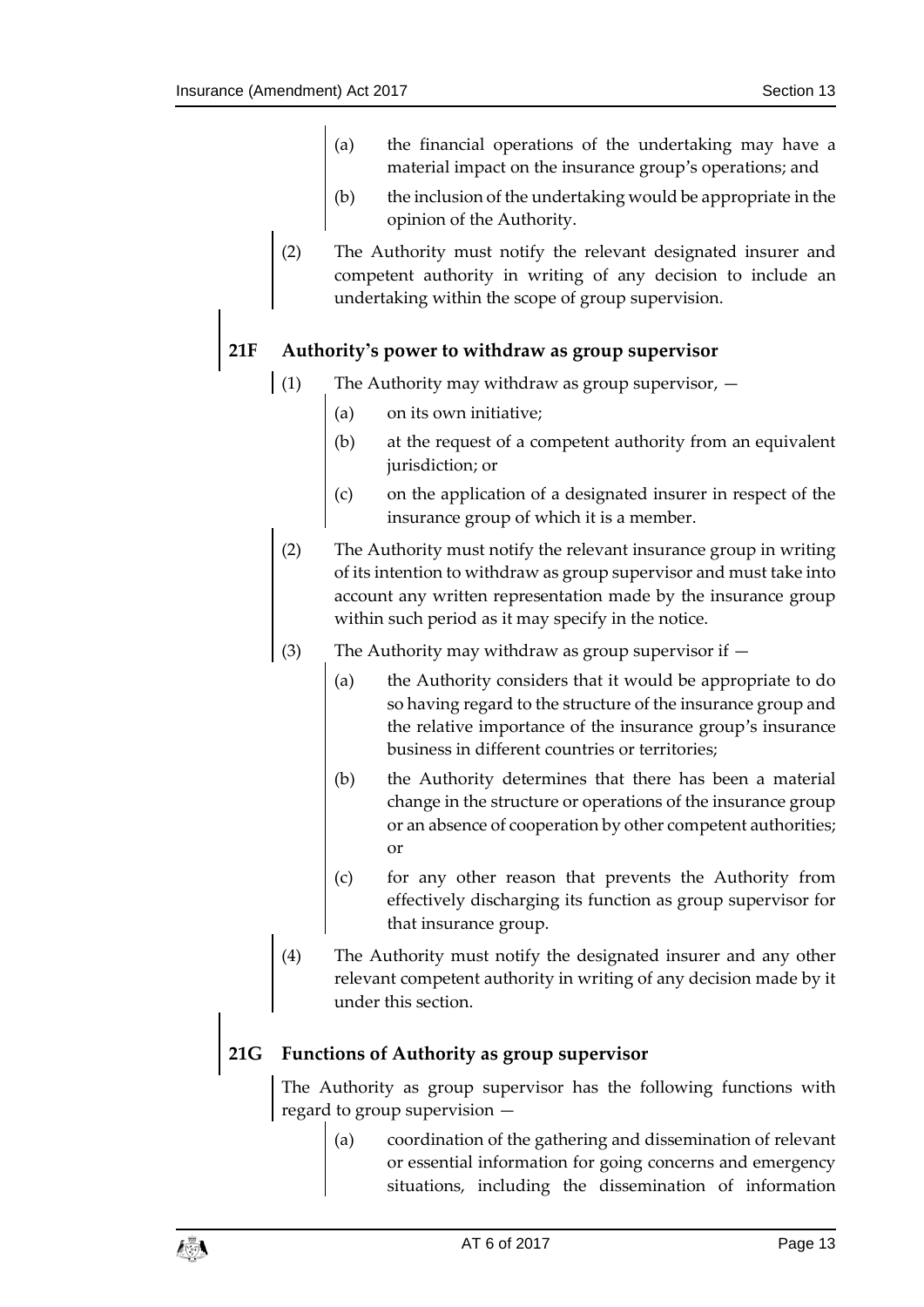- (a) the financial operations of the undertaking may have a material impact on the insurance group's operations; and
- (b) the inclusion of the undertaking would be appropriate in the opinion of the Authority.
- (2) The Authority must notify the relevant designated insurer and competent authority in writing of any decision to include an undertaking within the scope of group supervision.

### **21F Authority's power to withdraw as group supervisor**

- (1) The Authority may withdraw as group supervisor,  $-$ 
	- (a) on its own initiative;
	- (b) at the request of a competent authority from an equivalent jurisdiction; or
	- (c) on the application of a designated insurer in respect of the insurance group of which it is a member.
- (2) The Authority must notify the relevant insurance group in writing of its intention to withdraw as group supervisor and must take into account any written representation made by the insurance group within such period as it may specify in the notice.
- (3) The Authority may withdraw as group supervisor if
	- (a) the Authority considers that it would be appropriate to do so having regard to the structure of the insurance group and the relative importance of the insurance group's insurance business in different countries or territories;
	- (b) the Authority determines that there has been a material change in the structure or operations of the insurance group or an absence of cooperation by other competent authorities; or
	- (c) for any other reason that prevents the Authority from effectively discharging its function as group supervisor for that insurance group.
- (4) The Authority must notify the designated insurer and any other relevant competent authority in writing of any decision made by it under this section.

# **21G Functions of Authority as group supervisor**

The Authority as group supervisor has the following functions with regard to group supervision —

> (a) coordination of the gathering and dissemination of relevant or essential information for going concerns and emergency situations, including the dissemination of information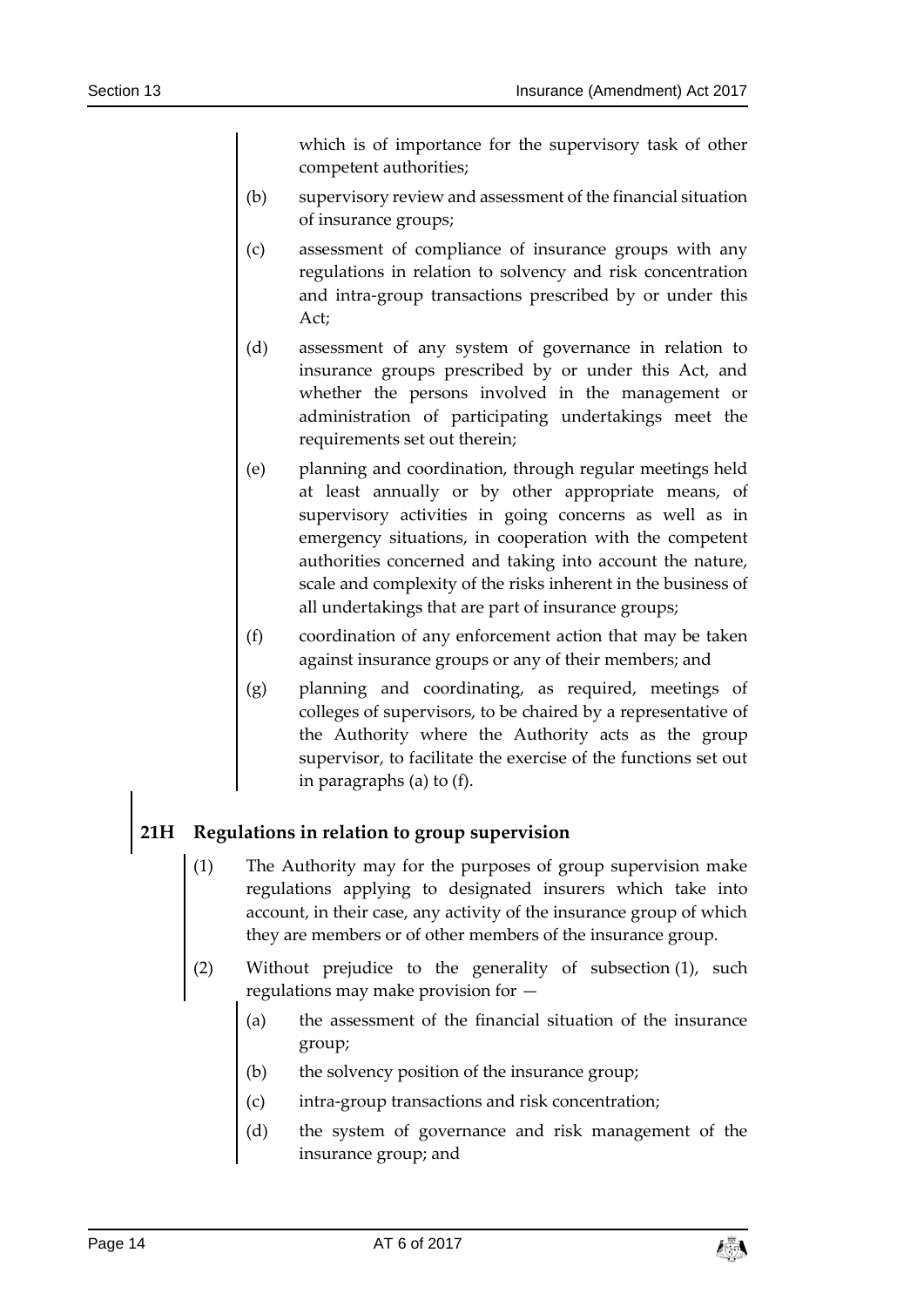which is of importance for the supervisory task of other competent authorities;

- (b) supervisory review and assessment of the financial situation of insurance groups;
- (c) assessment of compliance of insurance groups with any regulations in relation to solvency and risk concentration and intra-group transactions prescribed by or under this Act;
- (d) assessment of any system of governance in relation to insurance groups prescribed by or under this Act, and whether the persons involved in the management or administration of participating undertakings meet the requirements set out therein;
- (e) planning and coordination, through regular meetings held at least annually or by other appropriate means, of supervisory activities in going concerns as well as in emergency situations, in cooperation with the competent authorities concerned and taking into account the nature, scale and complexity of the risks inherent in the business of all undertakings that are part of insurance groups;
- (f) coordination of any enforcement action that may be taken against insurance groups or any of their members; and
- (g) planning and coordinating, as required, meetings of colleges of supervisors, to be chaired by a representative of the Authority where the Authority acts as the group supervisor, to facilitate the exercise of the functions set out in paragraphs (a) to (f).

### **21H Regulations in relation to group supervision**

- (1) The Authority may for the purposes of group supervision make regulations applying to designated insurers which take into account, in their case, any activity of the insurance group of which they are members or of other members of the insurance group.
- (2) Without prejudice to the generality of subsection (1), such regulations may make provision for —
	- (a) the assessment of the financial situation of the insurance group;
	- (b) the solvency position of the insurance group;
	- (c) intra-group transactions and risk concentration;
	- (d) the system of governance and risk management of the insurance group; and

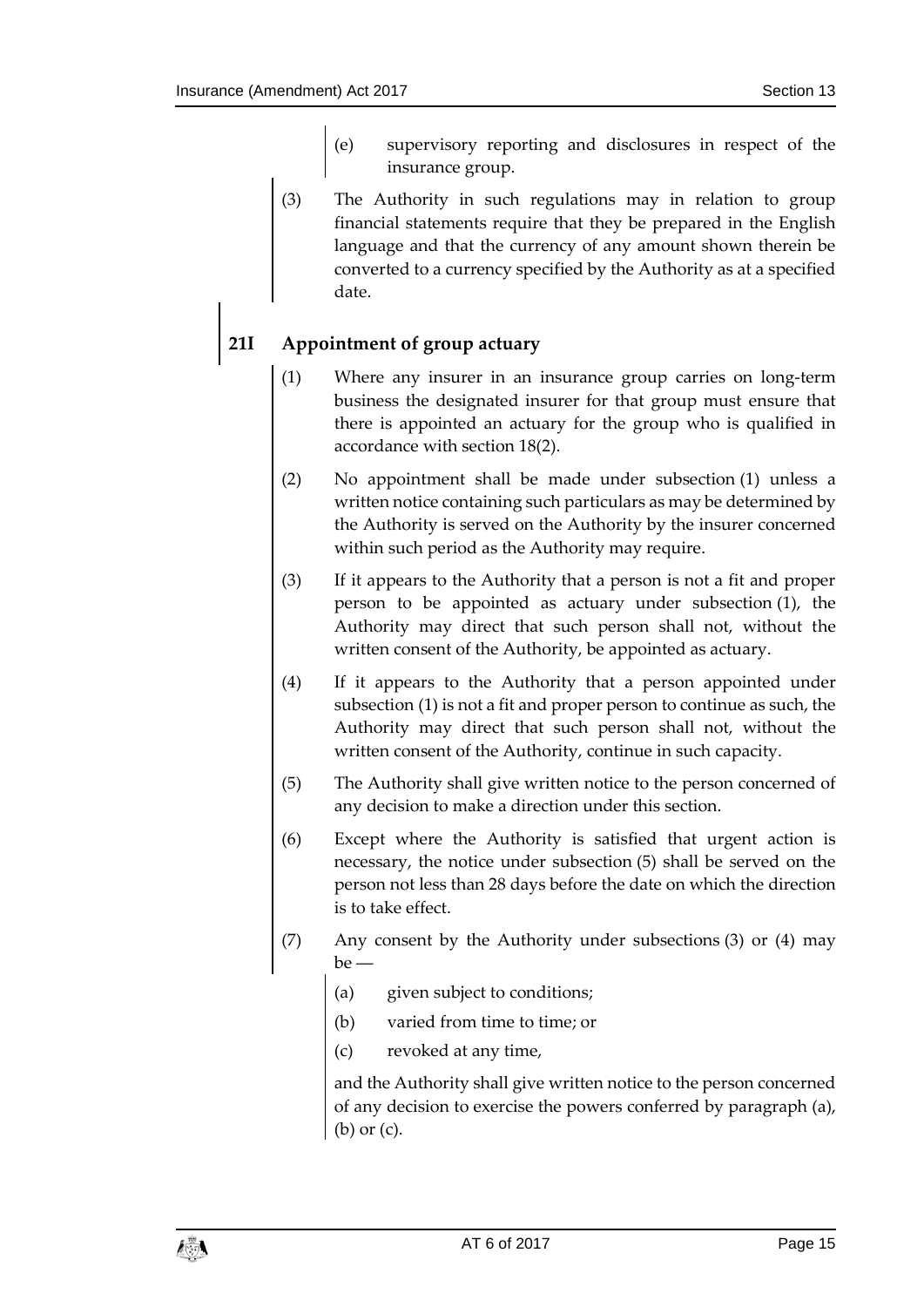- (e) supervisory reporting and disclosures in respect of the insurance group.
- (3) The Authority in such regulations may in relation to group financial statements require that they be prepared in the English language and that the currency of any amount shown therein be converted to a currency specified by the Authority as at a specified date.

# **21I Appointment of group actuary**

- (1) Where any insurer in an insurance group carries on long-term business the designated insurer for that group must ensure that there is appointed an actuary for the group who is qualified in accordance with section 18(2).
- (2) No appointment shall be made under subsection (1) unless a written notice containing such particulars as may be determined by the Authority is served on the Authority by the insurer concerned within such period as the Authority may require.
- (3) If it appears to the Authority that a person is not a fit and proper person to be appointed as actuary under subsection (1), the Authority may direct that such person shall not, without the written consent of the Authority, be appointed as actuary.
- (4) If it appears to the Authority that a person appointed under subsection (1) is not a fit and proper person to continue as such, the Authority may direct that such person shall not, without the written consent of the Authority, continue in such capacity.
- (5) The Authority shall give written notice to the person concerned of any decision to make a direction under this section.
- (6) Except where the Authority is satisfied that urgent action is necessary, the notice under subsection (5) shall be served on the person not less than 28 days before the date on which the direction is to take effect.
- (7) Any consent by the Authority under subsections (3) or (4) may be ―
	- (a) given subject to conditions;
	- (b) varied from time to time; or
	- (c) revoked at any time,

and the Authority shall give written notice to the person concerned of any decision to exercise the powers conferred by paragraph (a), (b) or (c).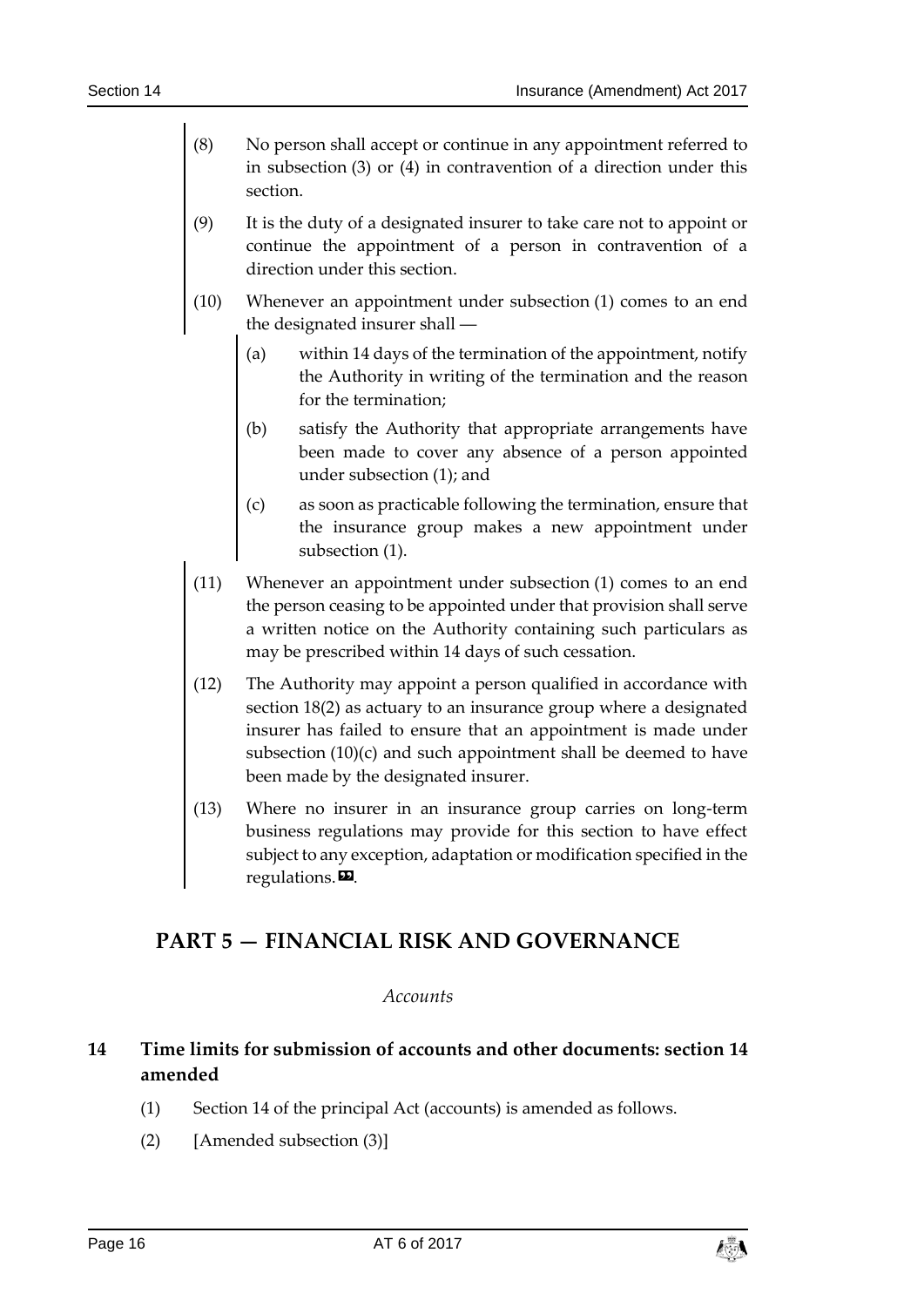- (8) No person shall accept or continue in any appointment referred to in subsection (3) or (4) in contravention of a direction under this section.
- (9) It is the duty of a designated insurer to take care not to appoint or continue the appointment of a person in contravention of a direction under this section.
- (10) Whenever an appointment under subsection (1) comes to an end the designated insurer shall ―
	- (a) within 14 days of the termination of the appointment, notify the Authority in writing of the termination and the reason for the termination;
	- (b) satisfy the Authority that appropriate arrangements have been made to cover any absence of a person appointed under subsection (1); and
	- (c) as soon as practicable following the termination, ensure that the insurance group makes a new appointment under subsection (1).
- (11) Whenever an appointment under subsection (1) comes to an end the person ceasing to be appointed under that provision shall serve a written notice on the Authority containing such particulars as may be prescribed within 14 days of such cessation.
- (12) The Authority may appoint a person qualified in accordance with section 18(2) as actuary to an insurance group where a designated insurer has failed to ensure that an appointment is made under subsection (10)(c) and such appointment shall be deemed to have been made by the designated insurer.
- (13) Where no insurer in an insurance group carries on long-term business regulations may provide for this section to have effect subject to any exception, adaptation or modification specified in the regulations. $\mathbf{E}$ .

# <span id="page-15-1"></span><span id="page-15-0"></span>**PART 5 — FINANCIAL RISK AND GOVERNANCE**

### *Accounts*

# <span id="page-15-2"></span>**14 Time limits for submission of accounts and other documents: section 14 amended**

- (1) Section 14 of the principal Act (accounts) is amended as follows.
- (2) [Amended subsection (3)]

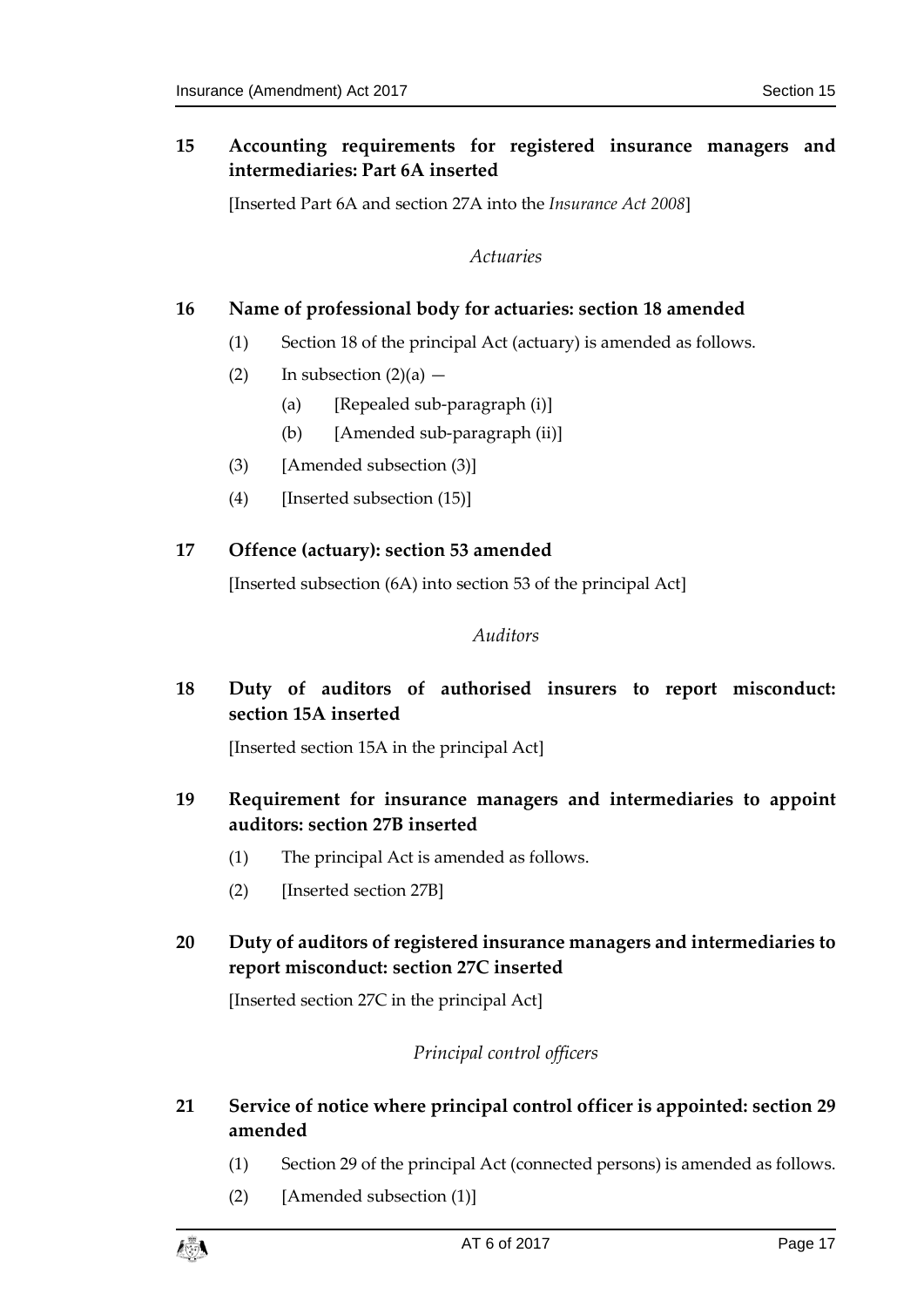### <span id="page-16-0"></span>**15 Accounting requirements for registered insurance managers and intermediaries: Part 6A inserted**

<span id="page-16-1"></span>[Inserted Part 6A and section 27A into the *Insurance Act 2008*]

*Actuaries*

### <span id="page-16-2"></span>**16 Name of professional body for actuaries: section 18 amended**

- (1) Section 18 of the principal Act (actuary) is amended as follows.
- (2) In subsection  $(2)(a)$ 
	- (a) [Repealed sub-paragraph  $(i)$ ]
	- (b) [Amended sub-paragraph (ii)]
- (3) [Amended subsection (3)]
- (4) [Inserted subsection (15)]

### <span id="page-16-4"></span><span id="page-16-3"></span>**17 Offence (actuary): section 53 amended**

[Inserted subsection (6A) into section 53 of the principal Act]

### *Auditors*

# <span id="page-16-5"></span>**18 Duty of auditors of authorised insurers to report misconduct: section 15A inserted**

[Inserted section 15A in the principal Act]

- <span id="page-16-6"></span>**19 Requirement for insurance managers and intermediaries to appoint auditors: section 27B inserted**
	- (1) The principal Act is amended as follows.
	- (2) [Inserted section 27B]

### <span id="page-16-7"></span>**20 Duty of auditors of registered insurance managers and intermediaries to report misconduct: section 27C inserted**

<span id="page-16-8"></span>[Inserted section 27C in the principal Act]

### *Principal control officers*

### <span id="page-16-9"></span>**21 Service of notice where principal control officer is appointed: section 29 amended**

- (1) Section 29 of the principal Act (connected persons) is amended as follows.
- (2) [Amended subsection (1)]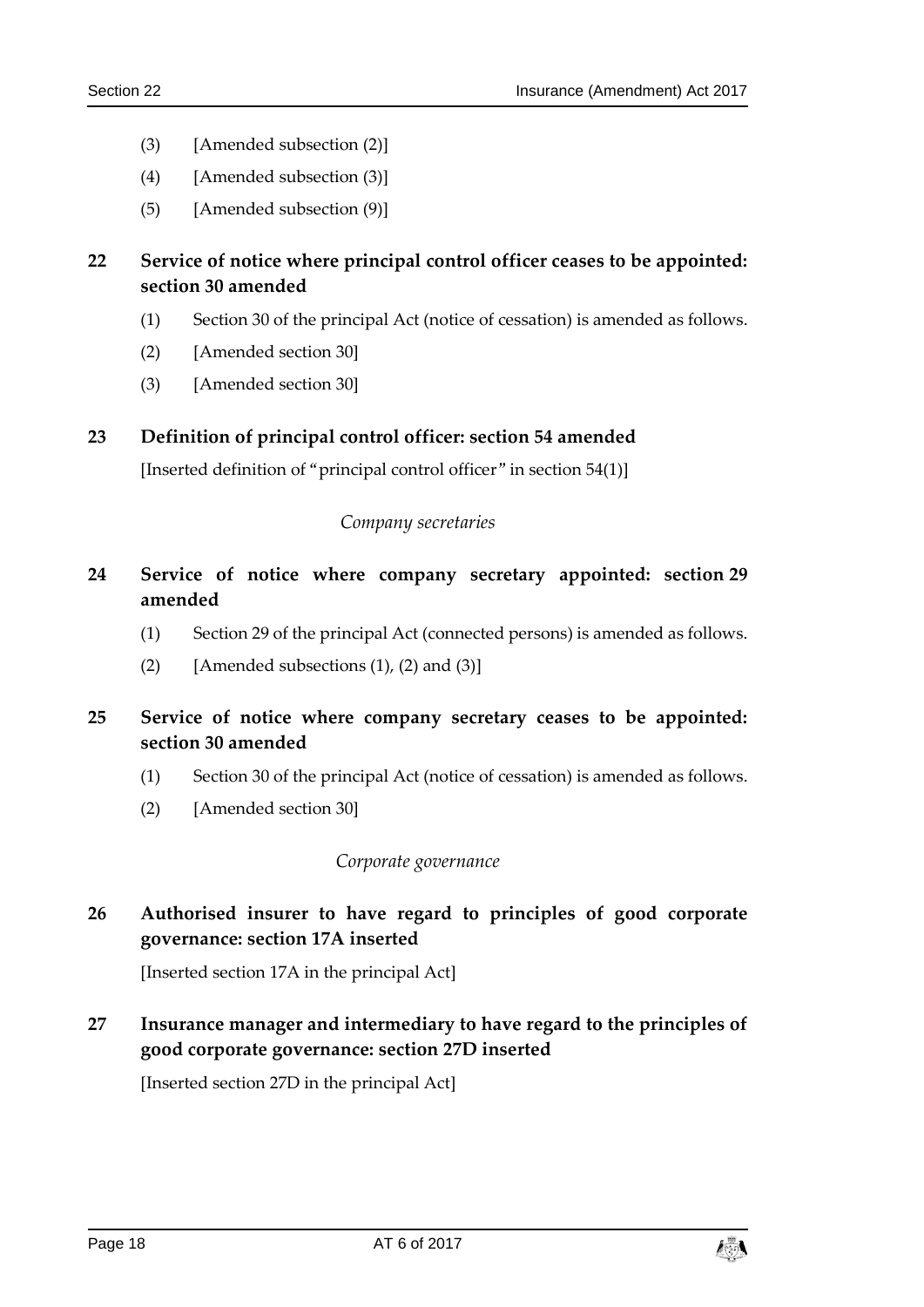- (3) [Amended subsection (2)]
- (4) [Amended subsection (3)]
- (5) [Amended subsection (9)]

### <span id="page-17-0"></span>**22 Service of notice where principal control officer ceases to be appointed: section 30 amended**

- (1) Section 30 of the principal Act (notice of cessation) is amended as follows.
- (2) [Amended section 30]
- (3) [Amended section 30]

### <span id="page-17-2"></span><span id="page-17-1"></span>**23 Definition of principal control officer: section 54 amended**

[Inserted definition of "principal control officer" in section 54(1)]

### *Company secretaries*

- <span id="page-17-3"></span>**24 Service of notice where company secretary appointed: section 29 amended**
	- (1) Section 29 of the principal Act (connected persons) is amended as follows.
	- (2) [Amended subsections  $(1)$ ,  $(2)$  and  $(3)$ ]
- <span id="page-17-4"></span>**25 Service of notice where company secretary ceases to be appointed: section 30 amended**
	- (1) Section 30 of the principal Act (notice of cessation) is amended as follows.
	- (2) [Amended section 30]

### *Corporate governance*

<span id="page-17-6"></span><span id="page-17-5"></span>**26 Authorised insurer to have regard to principles of good corporate governance: section 17A inserted**

[Inserted section 17A in the principal Act]

<span id="page-17-7"></span>**27 Insurance manager and intermediary to have regard to the principles of good corporate governance: section 27D inserted**

[Inserted section 27D in the principal Act]

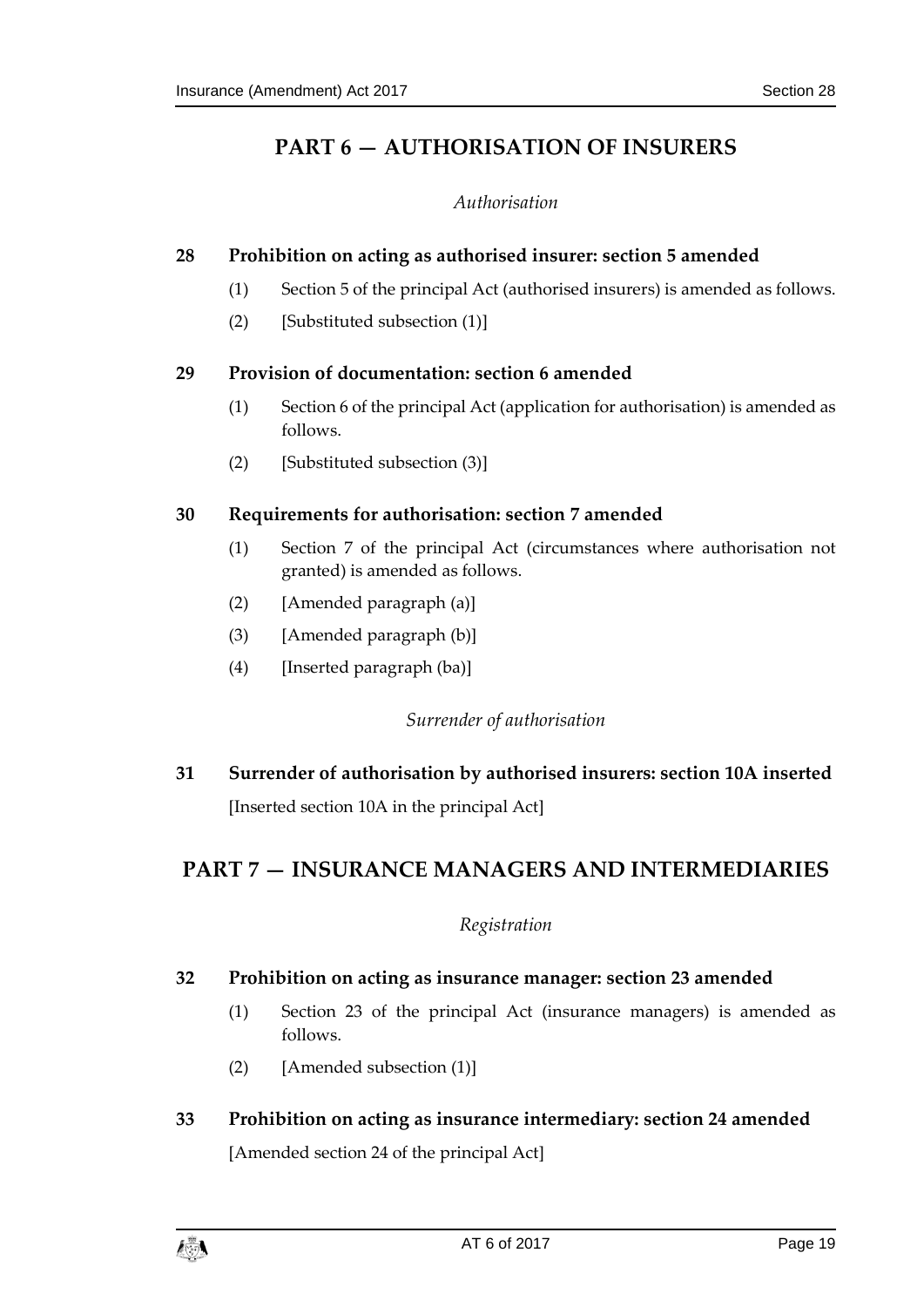# <span id="page-18-0"></span>**PART 6 — AUTHORISATION OF INSURERS**

### *Authorisation*

### <span id="page-18-2"></span><span id="page-18-1"></span>**28 Prohibition on acting as authorised insurer: section 5 amended**

- (1) Section 5 of the principal Act (authorised insurers) is amended as follows.
- (2) [Substituted subsection (1)]

### <span id="page-18-3"></span>**29 Provision of documentation: section 6 amended**

- (1) Section 6 of the principal Act (application for authorisation) is amended as follows.
- (2) [Substituted subsection (3)]

### <span id="page-18-4"></span>**30 Requirements for authorisation: section 7 amended**

- (1) Section 7 of the principal Act (circumstances where authorisation not granted) is amended as follows.
- (2) [Amended paragraph (a)]
- (3) [Amended paragraph (b)]
- <span id="page-18-5"></span>(4) [Inserted paragraph (ba)]

### *Surrender of authorisation*

<span id="page-18-6"></span>**31 Surrender of authorisation by authorised insurers: section 10A inserted** [Inserted section 10A in the principal Act]

# <span id="page-18-8"></span><span id="page-18-7"></span>**PART 7 — INSURANCE MANAGERS AND INTERMEDIARIES**

### *Registration*

### <span id="page-18-9"></span>**32 Prohibition on acting as insurance manager: section 23 amended**

- (1) Section 23 of the principal Act (insurance managers) is amended as follows.
- (2) [Amended subsection (1)]
- <span id="page-18-10"></span>**33 Prohibition on acting as insurance intermediary: section 24 amended** [Amended section 24 of the principal Act]

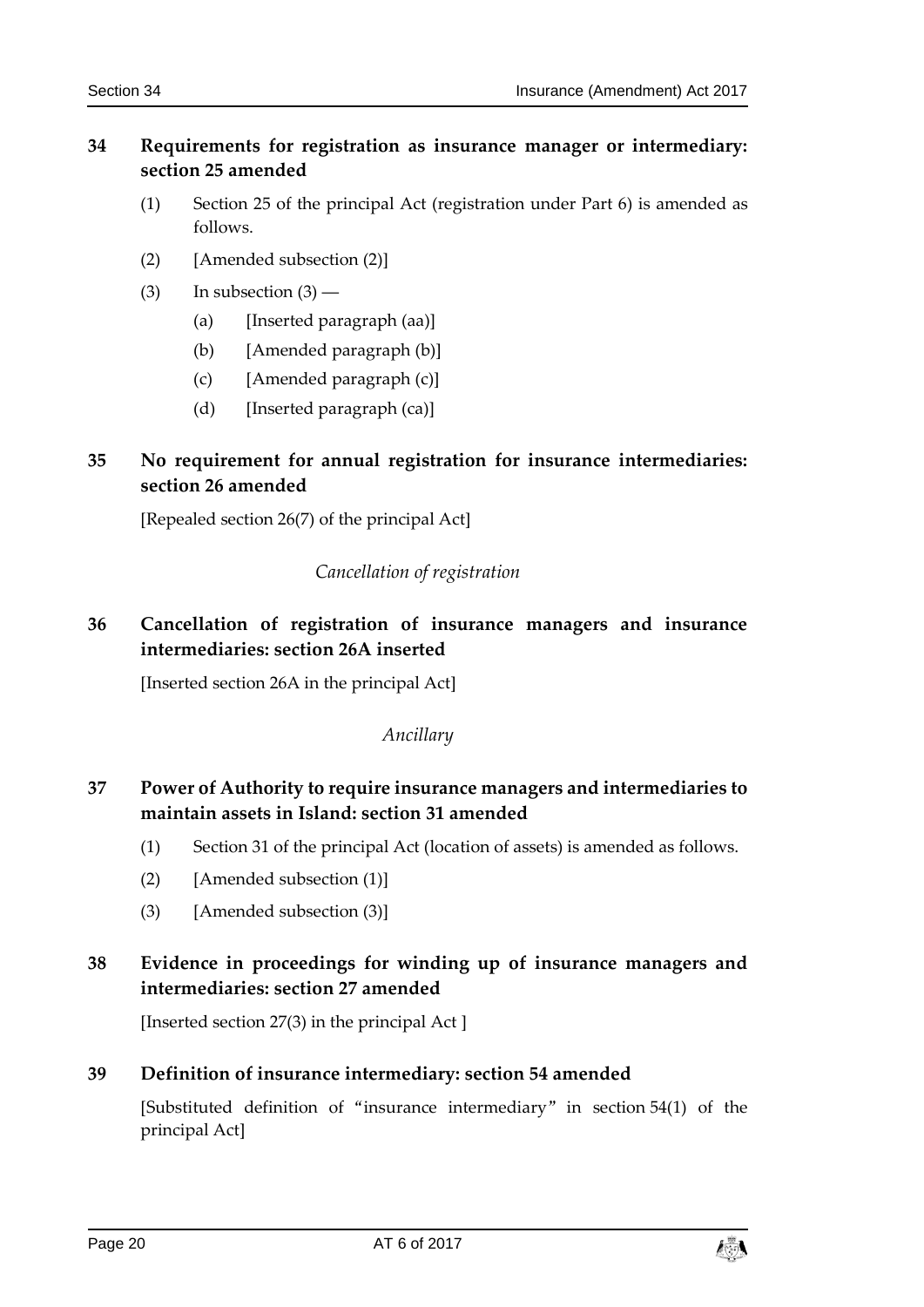### <span id="page-19-0"></span>**34 Requirements for registration as insurance manager or intermediary: section 25 amended**

- (1) Section 25 of the principal Act (registration under Part 6) is amended as follows.
- (2) [Amended subsection (2)]
- (3) In subsection  $(3)$ 
	- (a) [Inserted paragraph (aa)]
	- (b) [Amended paragraph (b)]
	- (c) [Amended paragraph (c)]
	- $(d)$  [Inserted paragraph  $(ca)$ ]

# <span id="page-19-1"></span>**35 No requirement for annual registration for insurance intermediaries: section 26 amended**

<span id="page-19-2"></span>[Repealed section 26(7) of the principal Act]

### *Cancellation of registration*

# <span id="page-19-3"></span>**36 Cancellation of registration of insurance managers and insurance intermediaries: section 26A inserted**

<span id="page-19-4"></span>[Inserted section 26A in the principal Act]

### *Ancillary*

# <span id="page-19-5"></span>**37 Power of Authority to require insurance managers and intermediaries to maintain assets in Island: section 31 amended**

- (1) Section 31 of the principal Act (location of assets) is amended as follows.
- (2) [Amended subsection (1)]
- (3) [Amended subsection (3)]

# <span id="page-19-6"></span>**38 Evidence in proceedings for winding up of insurance managers and intermediaries: section 27 amended**

[Inserted section 27(3) in the principal Act ]

# <span id="page-19-7"></span>**39 Definition of insurance intermediary: section 54 amended**

[Substituted definition of "insurance intermediary" in section 54(1) of the principal Act]

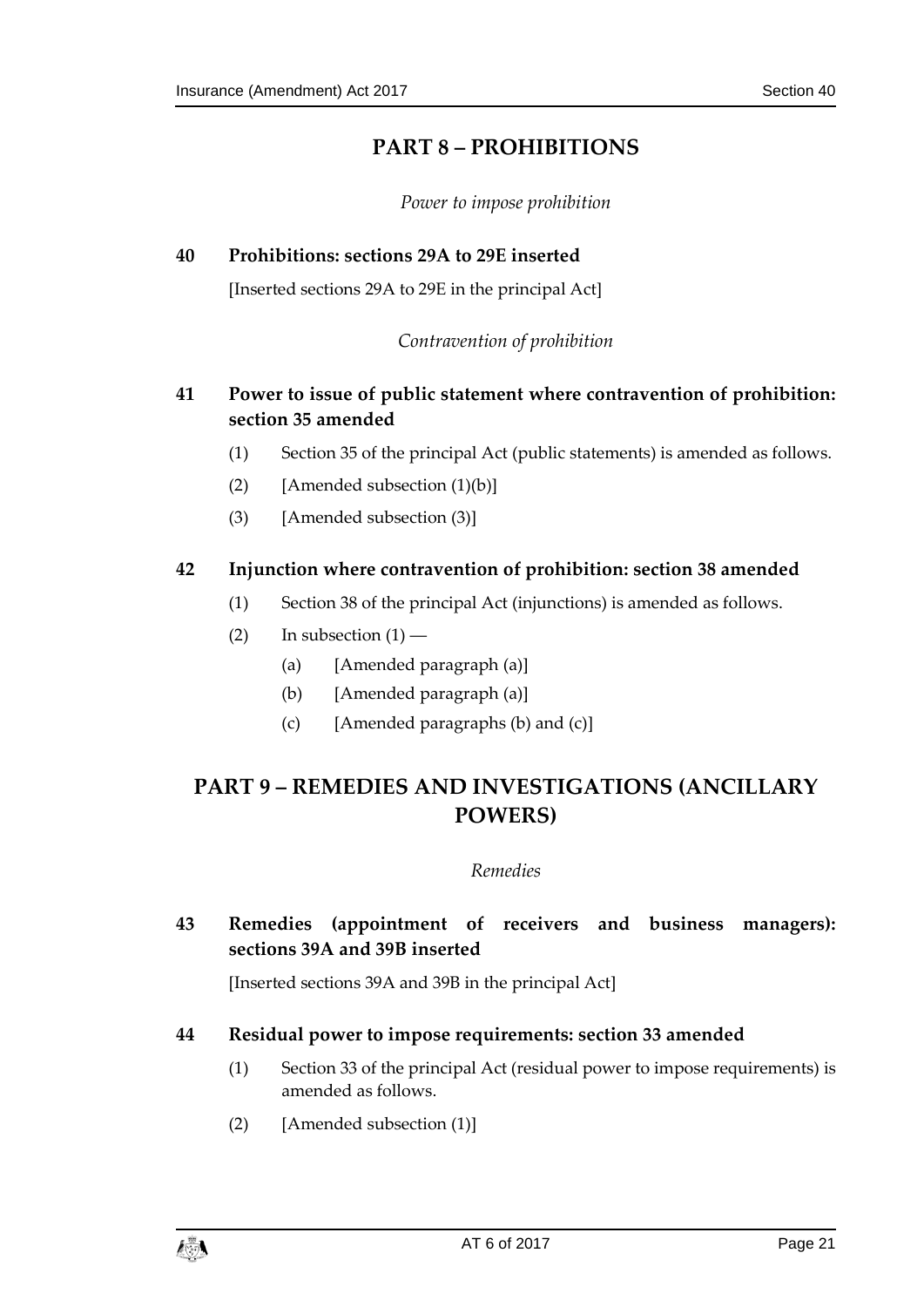# **PART 8 – PROHIBITIONS**

*Power to impose prohibition*

# <span id="page-20-3"></span><span id="page-20-2"></span><span id="page-20-1"></span><span id="page-20-0"></span>**40 Prohibitions: sections 29A to 29E inserted**

[Inserted sections 29A to 29E in the principal Act]

*Contravention of prohibition*

# <span id="page-20-4"></span>**41 Power to issue of public statement where contravention of prohibition: section 35 amended**

- (1) Section 35 of the principal Act (public statements) is amended as follows.
- (2) [Amended subsection  $(1)(b)$ ]
- (3) [Amended subsection (3)]

### <span id="page-20-5"></span>**42 Injunction where contravention of prohibition: section 38 amended**

- (1) Section 38 of the principal Act (injunctions) is amended as follows.
- (2) In subsection  $(1)$ 
	- (a) [Amended paragraph (a)]
	- (b) [Amended paragraph (a)]
	- (c) [Amended paragraphs (b) and (c)]

# <span id="page-20-7"></span><span id="page-20-6"></span>**PART 9 – REMEDIES AND INVESTIGATIONS (ANCILLARY POWERS)**

### *Remedies*

<span id="page-20-8"></span>**43 Remedies (appointment of receivers and business managers): sections 39A and 39B inserted**

[Inserted sections 39A and 39B in the principal Act]

### <span id="page-20-9"></span>**44 Residual power to impose requirements: section 33 amended**

- (1) Section 33 of the principal Act (residual power to impose requirements) is amended as follows.
- (2) [Amended subsection (1)]

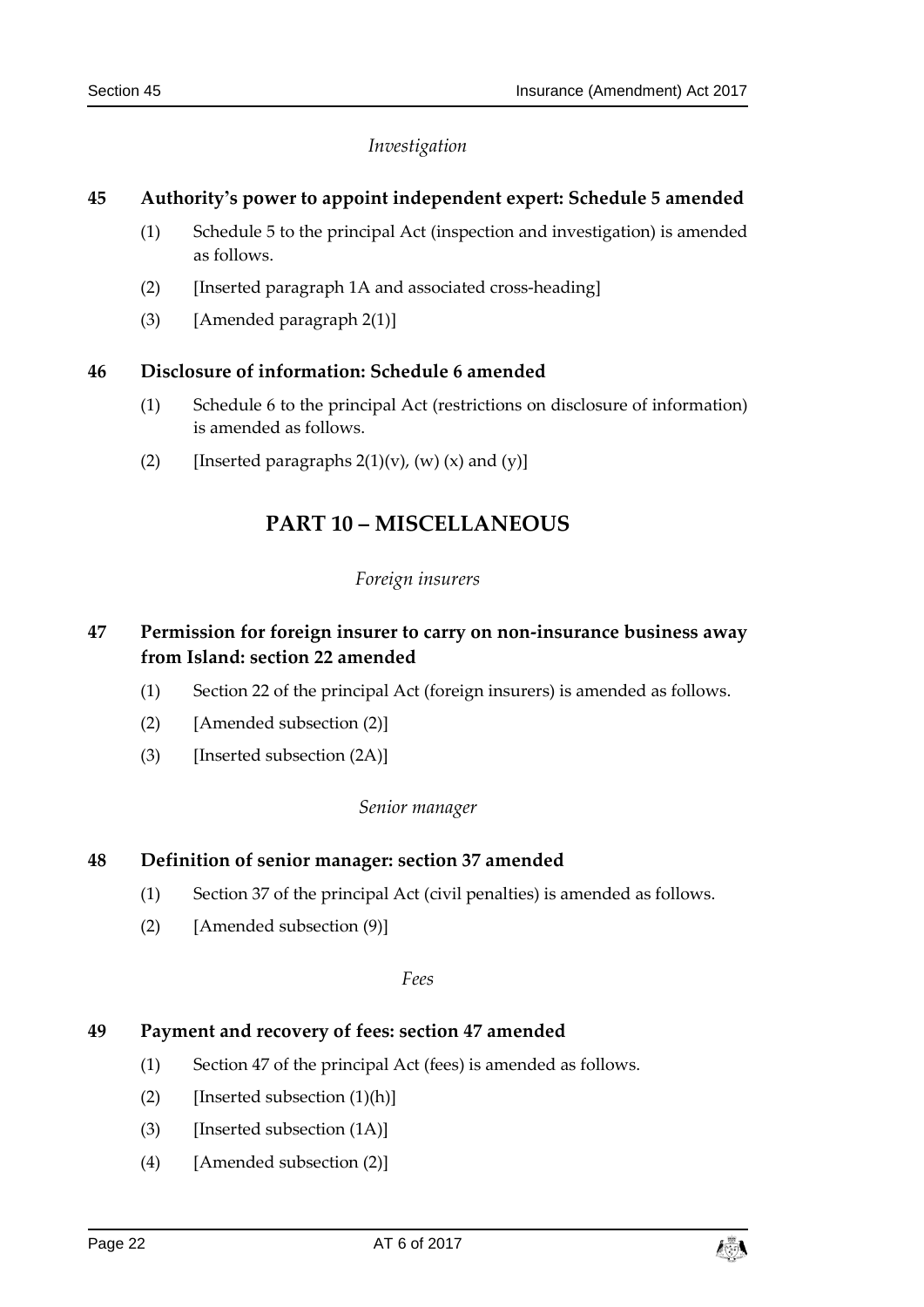### *Investigation*

### <span id="page-21-1"></span><span id="page-21-0"></span>**45 Authority's power to appoint independent expert: Schedule 5 amended**

- (1) Schedule 5 to the principal Act (inspection and investigation) is amended as follows.
- (2) [Inserted paragraph 1A and associated cross-heading]
- (3) [Amended paragraph  $2(1)$ ]

### <span id="page-21-2"></span>**46 Disclosure of information: Schedule 6 amended**

- (1) Schedule 6 to the principal Act (restrictions on disclosure of information) is amended as follows.
- <span id="page-21-3"></span>(2) [Inserted paragraphs  $2(1)(v)$ ,  $(w)$   $(x)$  and  $(y)$ ]

# **PART 10 – MISCELLANEOUS**

### *Foreign insurers*

### <span id="page-21-5"></span><span id="page-21-4"></span>**47 Permission for foreign insurer to carry on non-insurance business away from Island: section 22 amended**

- (1) Section 22 of the principal Act (foreign insurers) is amended as follows.
- (2) [Amended subsection (2)]
- <span id="page-21-6"></span>(3) [Inserted subsection (2A)]

### *Senior manager*

### <span id="page-21-7"></span>**48 Definition of senior manager: section 37 amended**

- (1) Section 37 of the principal Act (civil penalties) is amended as follows.
- <span id="page-21-8"></span>(2) [Amended subsection (9)]

### *Fees*

### <span id="page-21-9"></span>**49 Payment and recovery of fees: section 47 amended**

- (1) Section 47 of the principal Act (fees) is amended as follows.
- (2) [Inserted subsection  $(1)(h)$ ]
- (3) [Inserted subsection (1A)]
- (4) [Amended subsection (2)]

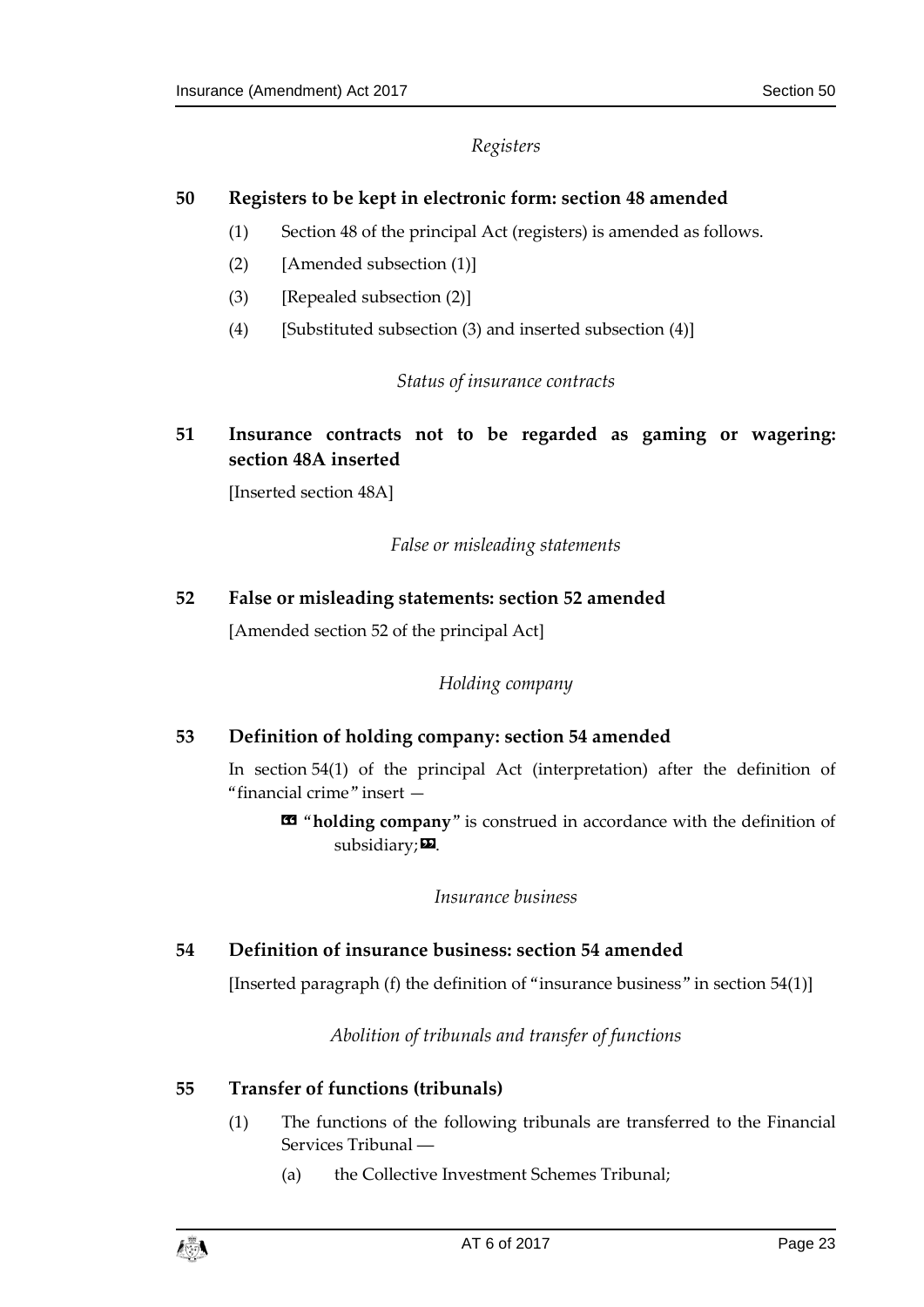### *Registers*

### <span id="page-22-1"></span><span id="page-22-0"></span>**50 Registers to be kept in electronic form: section 48 amended**

- (1) Section 48 of the principal Act (registers) is amended as follows.
- (2) [Amended subsection (1)]
- (3) [Repealed subsection (2)]
- <span id="page-22-2"></span>(4) [Substituted subsection (3) and inserted subsection (4)]

### *Status of insurance contracts*

<span id="page-22-3"></span>**51 Insurance contracts not to be regarded as gaming or wagering: section 48A inserted**

<span id="page-22-4"></span>[Inserted section 48A]

*False or misleading statements*

### <span id="page-22-6"></span><span id="page-22-5"></span>**52 False or misleading statements: section 52 amended**

[Amended section 52 of the principal Act]

### *Holding company*

### <span id="page-22-7"></span>**53 Definition of holding company: section 54 amended**

In section 54(1) of the principal Act (interpretation) after the definition of "financial crime" insert —

« "**holding company**" is construed in accordance with the definition of subsidiary; $\mathbf{E}$ .

### *Insurance business*

### <span id="page-22-10"></span><span id="page-22-9"></span><span id="page-22-8"></span>**54 Definition of insurance business: section 54 amended**

[Inserted paragraph (f) the definition of "insurance business" in section 54(1)]

*Abolition of tribunals and transfer of functions*

### <span id="page-22-12"></span><span id="page-22-11"></span>**55 Transfer of functions (tribunals)**

- (1) The functions of the following tribunals are transferred to the Financial Services Tribunal ―
	- (a) the Collective Investment Schemes Tribunal;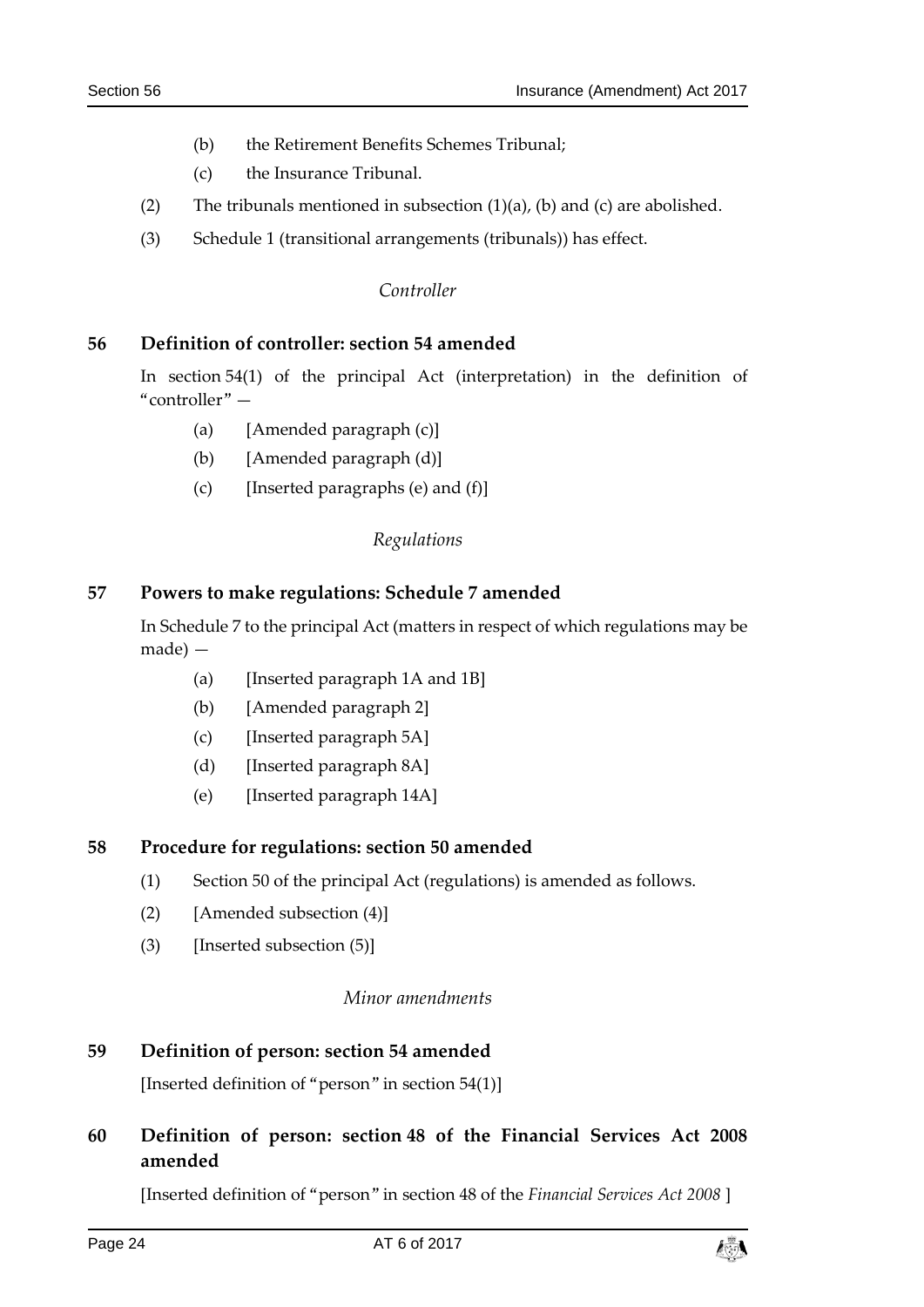- (b) the Retirement Benefits Schemes Tribunal;
- (c) the Insurance Tribunal.
- (2) The tribunals mentioned in subsection  $(1)(a)$ ,  $(b)$  and  $(c)$  are abolished.
- <span id="page-23-0"></span>(3) Schedule 1 (transitional arrangements (tribunals)) has effect.

### *Controller*

### <span id="page-23-1"></span>**56 Definition of controller: section 54 amended**

In section 54(1) of the principal Act (interpretation) in the definition of "controller" —

- (a) [Amended paragraph (c)]
- (b) [Amended paragraph (d)]
- (c) [Inserted paragraphs (e) and  $(f)$ ]

### *Regulations*

### <span id="page-23-3"></span><span id="page-23-2"></span>**57 Powers to make regulations: Schedule 7 amended**

In Schedule 7 to the principal Act (matters in respect of which regulations may be made) —

- (a) [Inserted paragraph 1A and 1B]
- (b) [Amended paragraph 2]
- (c) [Inserted paragraph 5A]
- (d) [Inserted paragraph 8A]
- (e) [Inserted paragraph 14A]

### <span id="page-23-4"></span>**58 Procedure for regulations: section 50 amended**

- (1) Section 50 of the principal Act (regulations) is amended as follows.
- (2) [Amended subsection (4)]
- <span id="page-23-5"></span>(3) [Inserted subsection (5)]

### *Minor amendments*

# <span id="page-23-6"></span>**59 Definition of person: section 54 amended**

[Inserted definition of "person" in section 54(1)]

# <span id="page-23-7"></span>**60 Definition of person: section 48 of the Financial Services Act 2008 amended**

[Inserted definition of "person" in section 48 of the *Financial Services Act 2008* ]

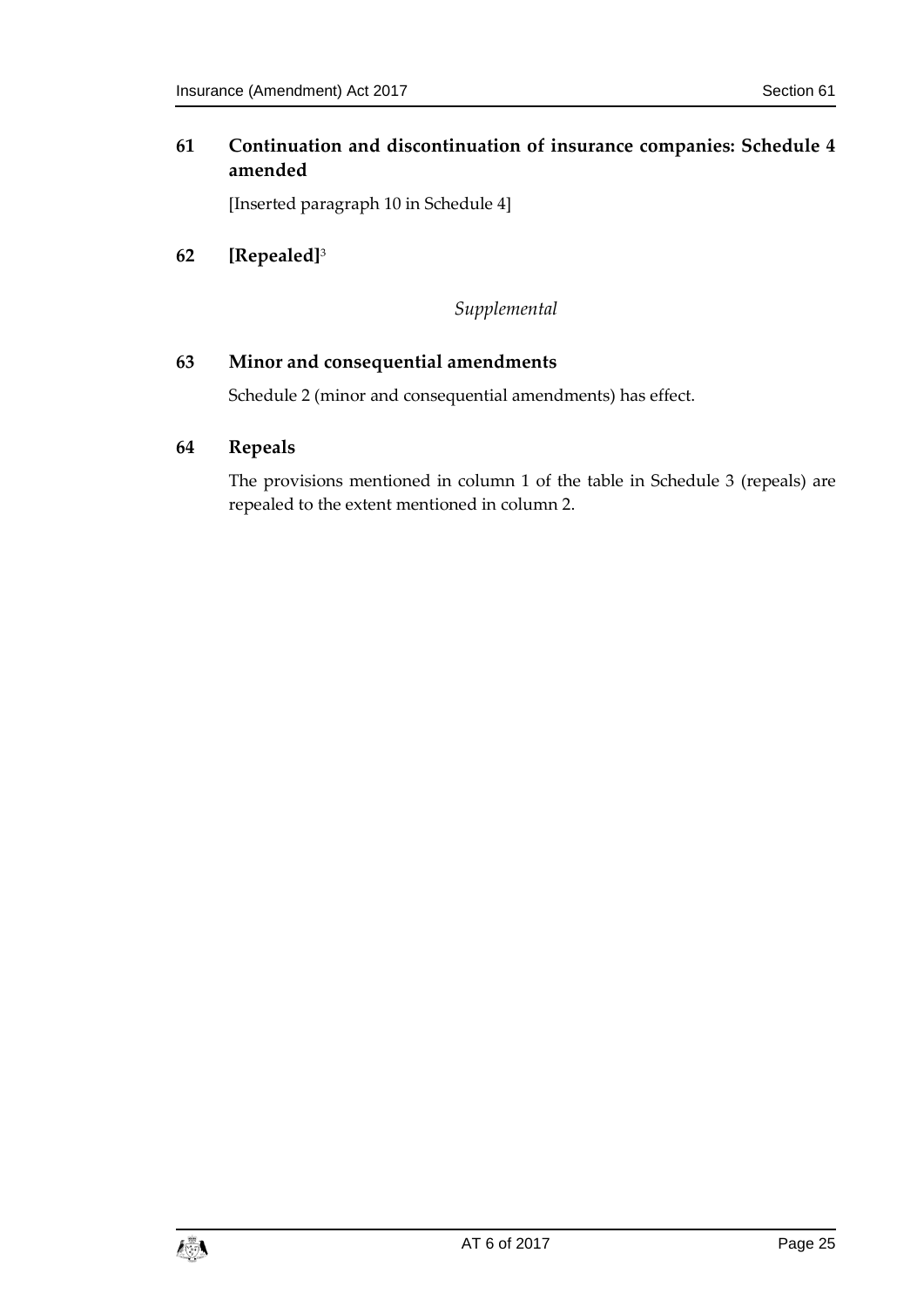### <span id="page-24-0"></span>**61 Continuation and discontinuation of insurance companies: Schedule 4 amended**

[Inserted paragraph 10 in Schedule 4]

<span id="page-24-2"></span><span id="page-24-1"></span>**62 [Repealed]**<sup>3</sup>

*Supplemental*

### <span id="page-24-3"></span>**63 Minor and consequential amendments**

Schedule 2 (minor and consequential amendments) has effect.

### <span id="page-24-4"></span>**64 Repeals**

The provisions mentioned in column 1 of the table in Schedule 3 (repeals) are repealed to the extent mentioned in column 2.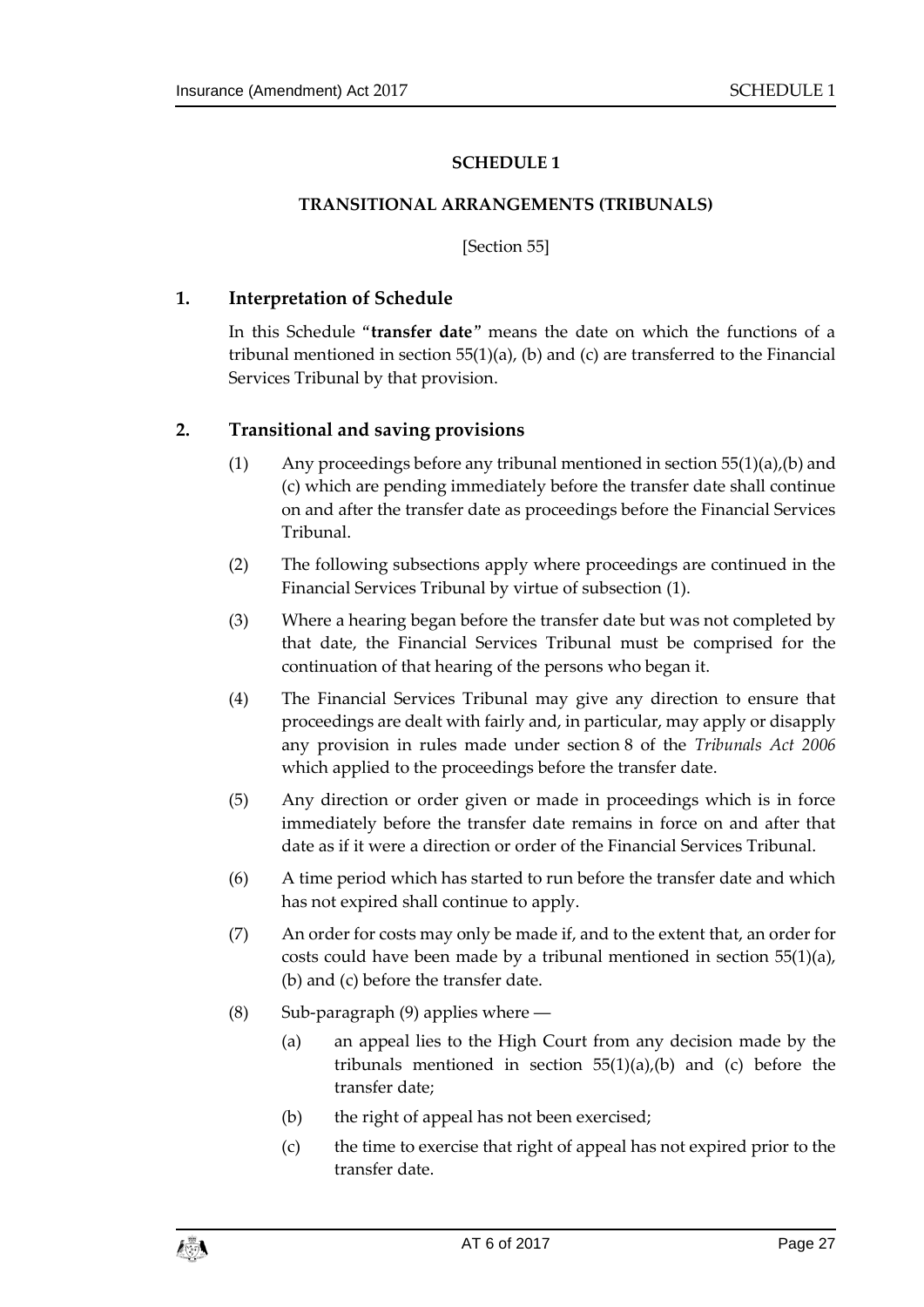### **SCHEDULE 1**

#### <span id="page-26-0"></span>**TRANSITIONAL ARRANGEMENTS (TRIBUNALS)**

[Section [55\]](#page-22-11)

### <span id="page-26-1"></span>**1. Interpretation of Schedule**

In this Schedule "**transfer date**" means the date on which the functions of a tribunal mentioned in section [55\(1\)\(](#page-22-12)a), (b) and (c) are transferred to the Financial Services Tribunal by that provision.

### **2. Transitional and saving provisions**

- (1) Any proceedings before any tribunal mentioned in section [55\(1\)\(](#page-22-12)a),(b) and (c) which are pending immediately before the transfer date shall continue on and after the transfer date as proceedings before the Financial Services Tribunal.
- (2) The following subsections apply where proceedings are continued in the Financial Services Tribunal by virtue of subsection (1).
- (3) Where a hearing began before the transfer date but was not completed by that date, the Financial Services Tribunal must be comprised for the continuation of that hearing of the persons who began it.
- (4) The Financial Services Tribunal may give any direction to ensure that proceedings are dealt with fairly and, in particular, may apply or disapply any provision in rules made under section 8 of the *Tribunals Act 2006* which applied to the proceedings before the transfer date.
- (5) Any direction or order given or made in proceedings which is in force immediately before the transfer date remains in force on and after that date as if it were a direction or order of the Financial Services Tribunal.
- (6) A time period which has started to run before the transfer date and which has not expired shall continue to apply.
- (7) An order for costs may only be made if, and to the extent that, an order for costs could have been made by a tribunal mentioned in section [55\(1\)\(](#page-22-12)a), (b) and (c) before the transfer date.
- (8) Sub-paragraph (9) applies where ―
	- (a) an appeal lies to the High Court from any decision made by the tribunals mentioned in section  $55(1)(a)$  $55(1)(a)$ , (b) and (c) before the transfer date;
	- (b) the right of appeal has not been exercised;
	- (c) the time to exercise that right of appeal has not expired prior to the transfer date.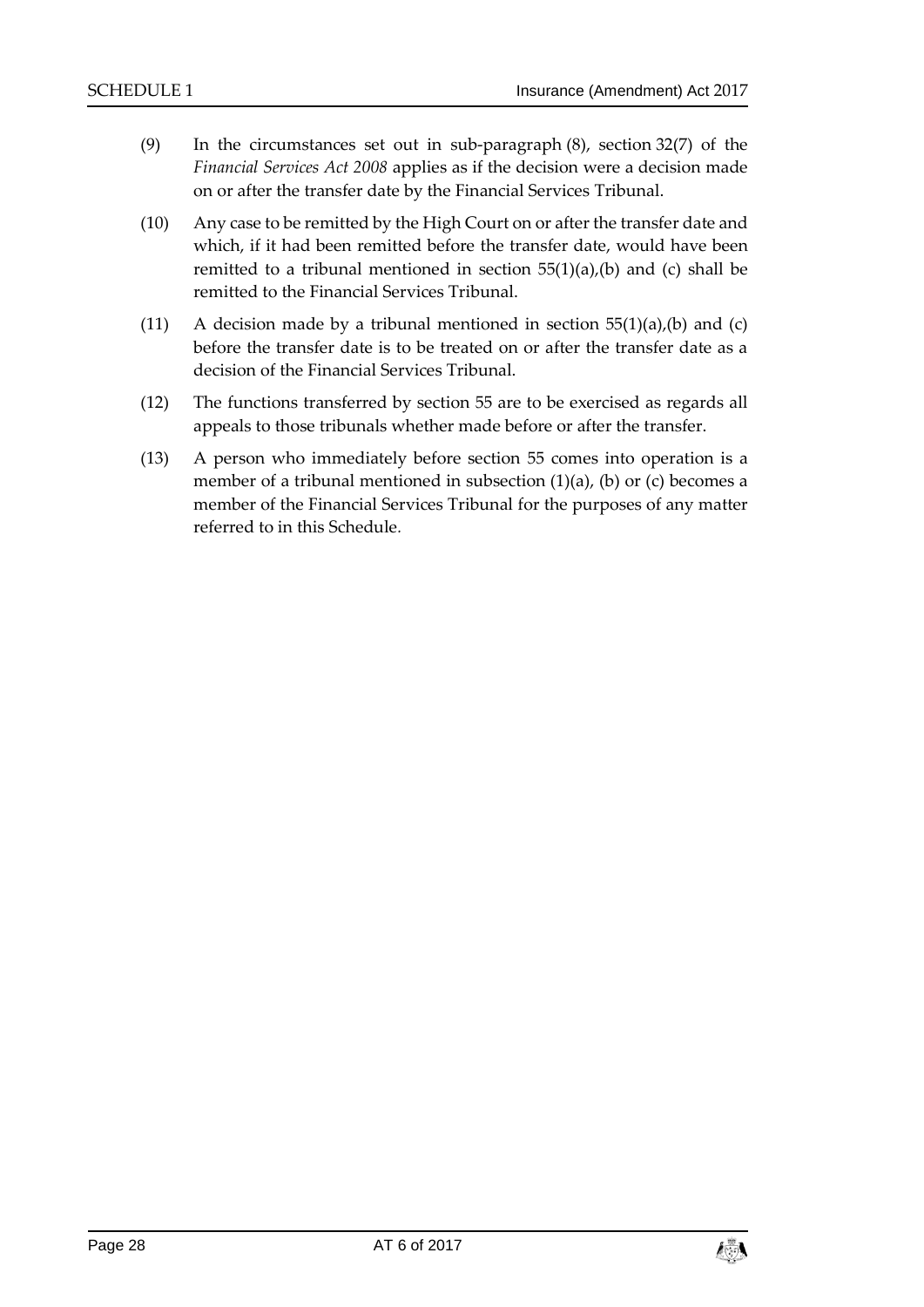- (9) In the circumstances set out in sub-paragraph (8), section 32(7) of the *Financial Services Act 2008* applies as if the decision were a decision made on or after the transfer date by the Financial Services Tribunal.
- (10) Any case to be remitted by the High Court on or after the transfer date and which, if it had been remitted before the transfer date, would have been remitted to a tribunal mentioned in section  $55(1)(a)$ ,(b) and (c) shall be remitted to the Financial Services Tribunal.
- (11) A decision made by a tribunal mentioned in section  $55(1)(a)$ , (b) and (c) before the transfer date is to be treated on or after the transfer date as a decision of the Financial Services Tribunal.
- (12) The functions transferred by section [55](#page-22-11) are to be exercised as regards all appeals to those tribunals whether made before or after the transfer.
- (13) A person who immediately before section [55](#page-22-11) comes into operation is a member of a tribunal mentioned in subsection  $(1)(a)$ ,  $(b)$  or  $(c)$  becomes a member of the Financial Services Tribunal for the purposes of any matter referred to in this Schedule*.*

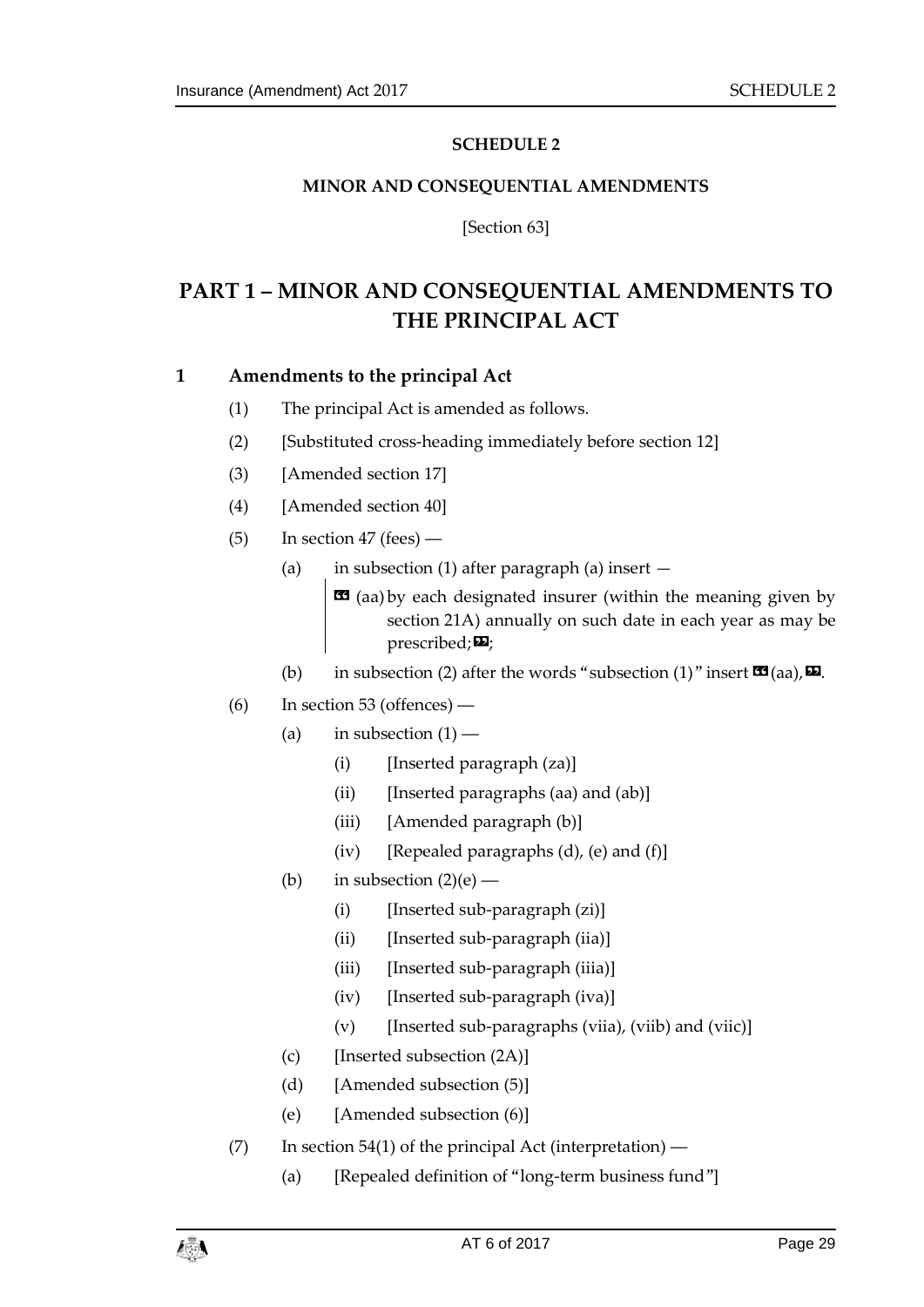### **SCHEDULE 2**

### <span id="page-28-0"></span>**MINOR AND CONSEQUENTIAL AMENDMENTS**

[Section [63\]](#page-24-3)

# <span id="page-28-1"></span>**PART 1 – MINOR AND CONSEQUENTIAL AMENDMENTS TO THE PRINCIPAL ACT**

### **1 Amendments to the principal Act**

- (1) The principal Act is amended as follows.
- (2) [Substituted cross-heading immediately before section 12]
- (3) [Amended section 17]
- (4) [Amended section 40]
- $(5)$  In section 47 (fees)
	- (a) in subsection (1) after paragraph (a) insert —

 $\text{13}$  (aa) by each designated insurer (within the meaning given by section 21A) annually on such date in each year as may be  $prescribed; \nabla$ ;

- (b) in subsection (2) after the words "subsection (1)" insert  $\mathbf{C}$  (aa),  $\mathbf{D}$ .
- (6) In section 53 (offences) ―
	- (a) in subsection  $(1)$ 
		- (i) [Inserted paragraph (za)]
		- $(ii)$  [Inserted paragraphs (aa) and (ab)]
		- (iii) [Amended paragraph (b)]
		- $(iv)$  [Repealed paragraphs  $(d)$ ,  $(e)$  and  $(f)$ ]
	- (b) in subsection  $(2)(e)$ 
		- $(i)$  [Inserted sub-paragraph  $(zi)$ ]
		- (ii) [Inserted sub-paragraph (iia)]
		- (iii) [Inserted sub-paragraph (iiia)]
		- (iv) [Inserted sub-paragraph (iva)]
		- $(v)$  [Inserted sub-paragraphs (viia), (viib) and (viic)]
	- (c) [Inserted subsection (2A)]
	- (d) [Amended subsection (5)]
	- (e) [Amended subsection (6)]
- (7) In section 54(1) of the principal Act (interpretation)
	- (a) [Repealed definition of "long-term business fund"]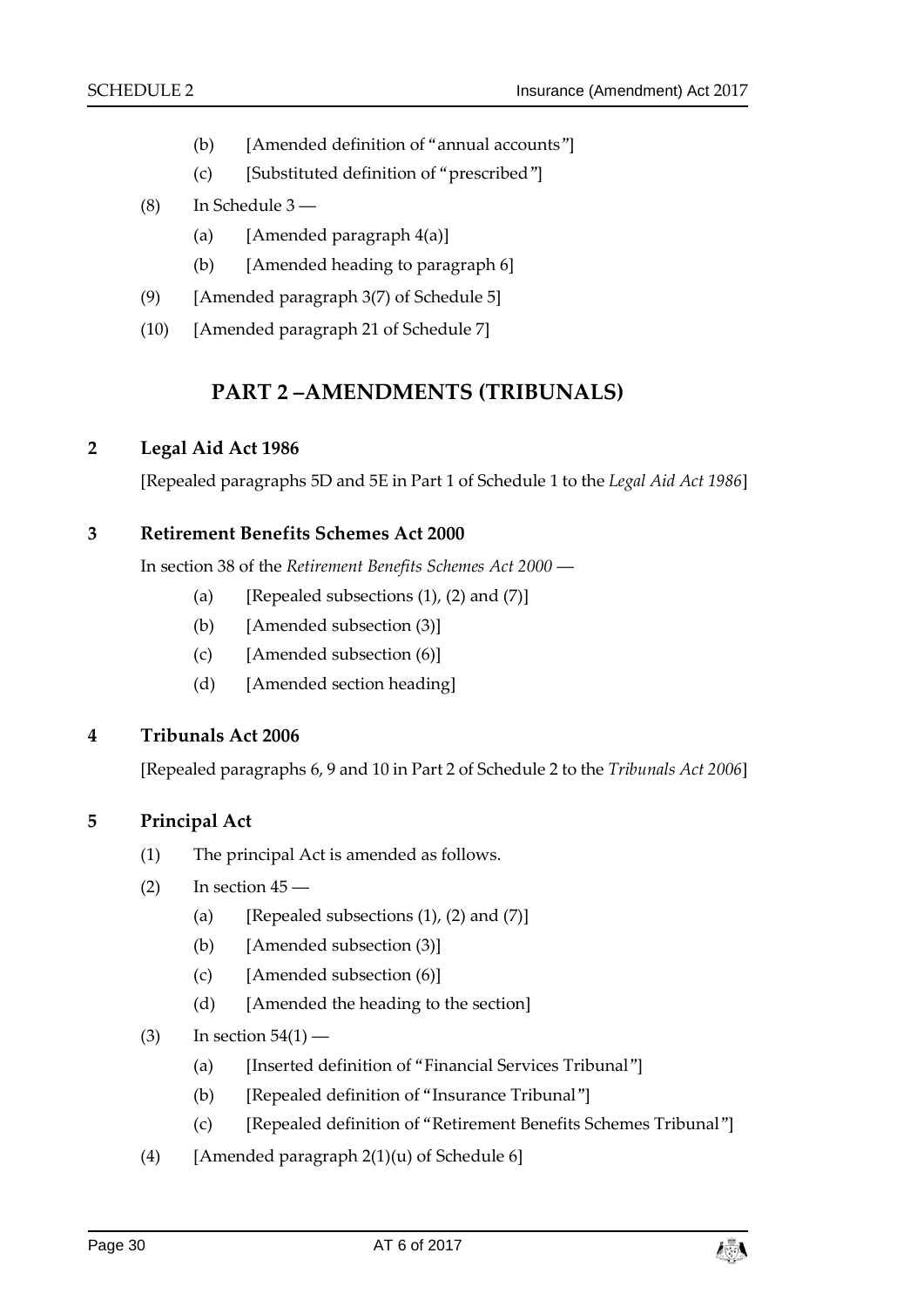- (b) [Amended definition of "annual accounts"]
- (c) [Substituted definition of "prescribed"]
- (8) In Schedule 3 ―
	- (a) [Amended paragraph  $4(a)$ ]
	- (b) [Amended heading to paragraph 6]
- (9) [Amended paragraph 3(7) of Schedule 5]
- (10) [Amended paragraph 21 of Schedule 7]

# **PART 2 –AMENDMENTS (TRIBUNALS)**

### **2 Legal Aid Act 1986**

[Repealed paragraphs 5D and 5E in Part 1 of Schedule 1 to the *Legal Aid Act 1986*]

### **3 Retirement Benefits Schemes Act 2000**

In section 38 of the *Retirement Benefits Schemes Act 2000* ―

- (a) [Repealed subsections  $(1)$ ,  $(2)$  and  $(7)$ ]
- (b) [Amended subsection (3)]
- (c) [Amended subsection (6)]
- (d) [Amended section heading]

### **4 Tribunals Act 2006**

[Repealed paragraphs 6, 9 and 10 in Part 2 of Schedule 2 to the *Tribunals Act 2006*]

### **5 Principal Act**

- (1) The principal Act is amended as follows.
- $(2)$  In section  $45$ 
	- (a) [Repealed subsections  $(1)$ ,  $(2)$  and  $(7)$ ]
	- (b) [Amended subsection (3)]
	- (c) [Amended subsection (6)]
	- (d) [Amended the heading to the section]
- $(3)$  In section  $54(1)$ 
	- (a) [Inserted definition of "Financial Services Tribunal"]
	- (b) [Repealed definition of "Insurance Tribunal"]
	- (c) [Repealed definition of "Retirement Benefits Schemes Tribunal"]
- (4) [Amended paragraph  $2(1)(u)$  of Schedule 6]

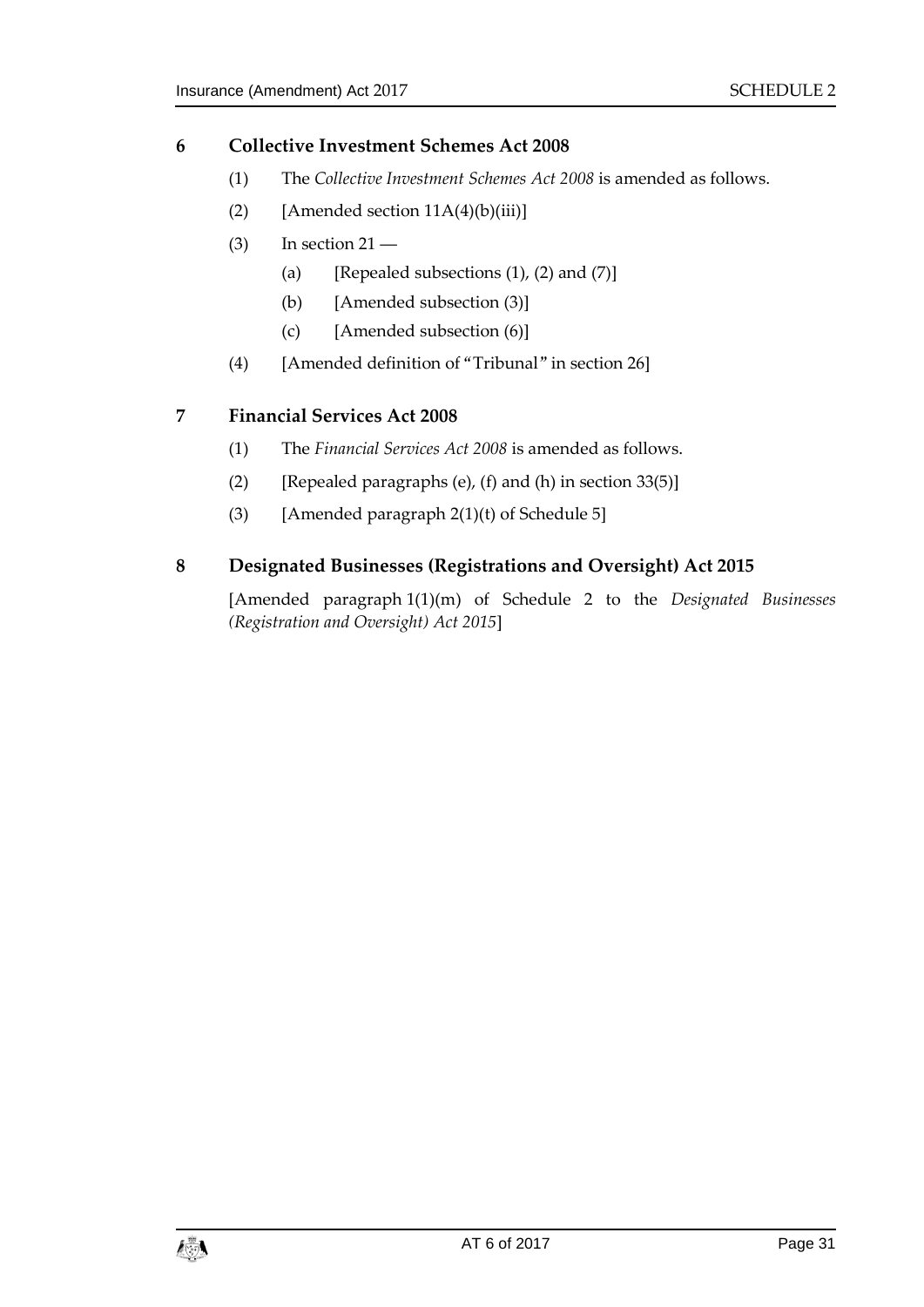### **6 Collective Investment Schemes Act 2008**

- (1) The *Collective Investment Schemes Act 2008* is amended as follows.
- (2) [Amended section  $11A(4)(b)(iii)$ ]
- $(3)$  In section  $21 -$ 
	- (a) [Repealed subsections  $(1)$ ,  $(2)$  and  $(7)$ ]
	- (b) [Amended subsection (3)]
	- (c) [Amended subsection (6)]
- (4) [Amended definition of "Tribunal" in section 26]

### **7 Financial Services Act 2008**

- (1) The *Financial Services Act 2008* is amended as follows.
- (2) [Repealed paragraphs (e), (f) and (h) in section  $33(5)$ ]
- (3) [Amended paragraph  $2(1)(t)$  of Schedule 5]

### **8 Designated Businesses (Registrations and Oversight) Act 2015**

[Amended paragraph 1(1)(m) of Schedule 2 to the *Designated Businesses (Registration and Oversight) Act 2015*]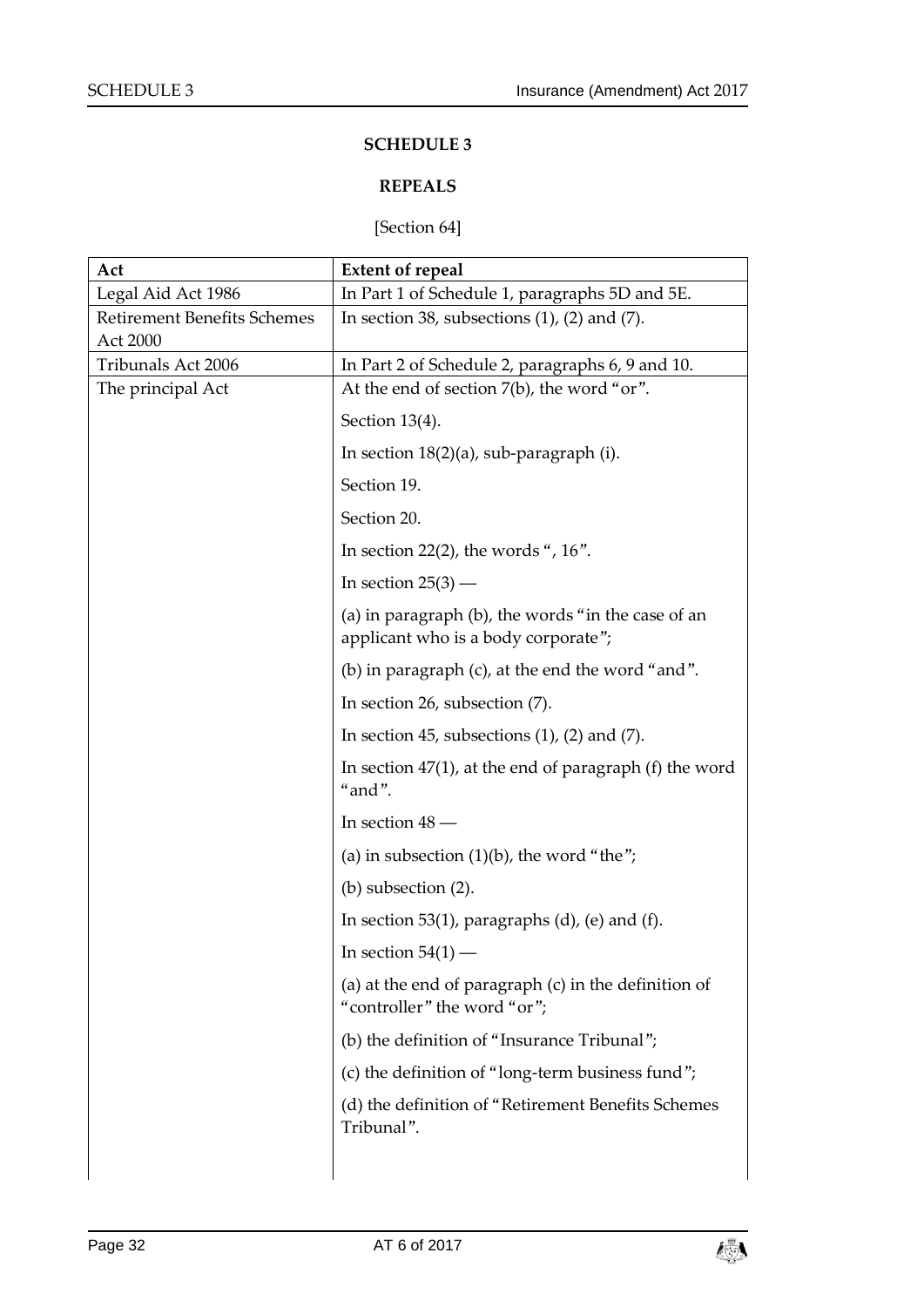### **SCHEDULE 3**

### **REPEALS**

### [Section [64\]](#page-24-4)

<span id="page-31-1"></span><span id="page-31-0"></span>

| Act                                            | <b>Extent of repeal</b>                                                                   |
|------------------------------------------------|-------------------------------------------------------------------------------------------|
| Legal Aid Act 1986                             | In Part 1 of Schedule 1, paragraphs 5D and 5E.                                            |
| <b>Retirement Benefits Schemes</b><br>Act 2000 | In section 38, subsections $(1)$ , $(2)$ and $(7)$ .                                      |
| Tribunals Act 2006                             | In Part 2 of Schedule 2, paragraphs 6, 9 and 10.                                          |
| The principal Act                              | At the end of section 7(b), the word "or".                                                |
|                                                | Section 13(4).                                                                            |
|                                                | In section $18(2)(a)$ , sub-paragraph (i).                                                |
|                                                | Section 19.                                                                               |
|                                                | Section 20.                                                                               |
|                                                | In section 22(2), the words ", $16$ ".                                                    |
|                                                | In section $25(3)$ —                                                                      |
|                                                | (a) in paragraph (b), the words "in the case of an<br>applicant who is a body corporate"; |
|                                                | (b) in paragraph (c), at the end the word "and".                                          |
|                                                | In section 26, subsection (7).                                                            |
|                                                | In section 45, subsections $(1)$ , $(2)$ and $(7)$ .                                      |
|                                                | In section $47(1)$ , at the end of paragraph (f) the word<br>"and".                       |
|                                                | In section $48$ –                                                                         |
|                                                | (a) in subsection $(1)(b)$ , the word "the";                                              |
|                                                | $(b)$ subsection $(2)$ .                                                                  |
|                                                | In section 53(1), paragraphs $(d)$ , $(e)$ and $(f)$ .                                    |
|                                                | In section $54(1)$ .                                                                      |
|                                                | (a) at the end of paragraph $(c)$ in the definition of<br>"controller" the word "or";     |
|                                                | (b) the definition of "Insurance Tribunal";                                               |
|                                                | (c) the definition of "long-term business fund";                                          |
|                                                | (d) the definition of "Retirement Benefits Schemes<br>Tribunal".                          |
|                                                |                                                                                           |

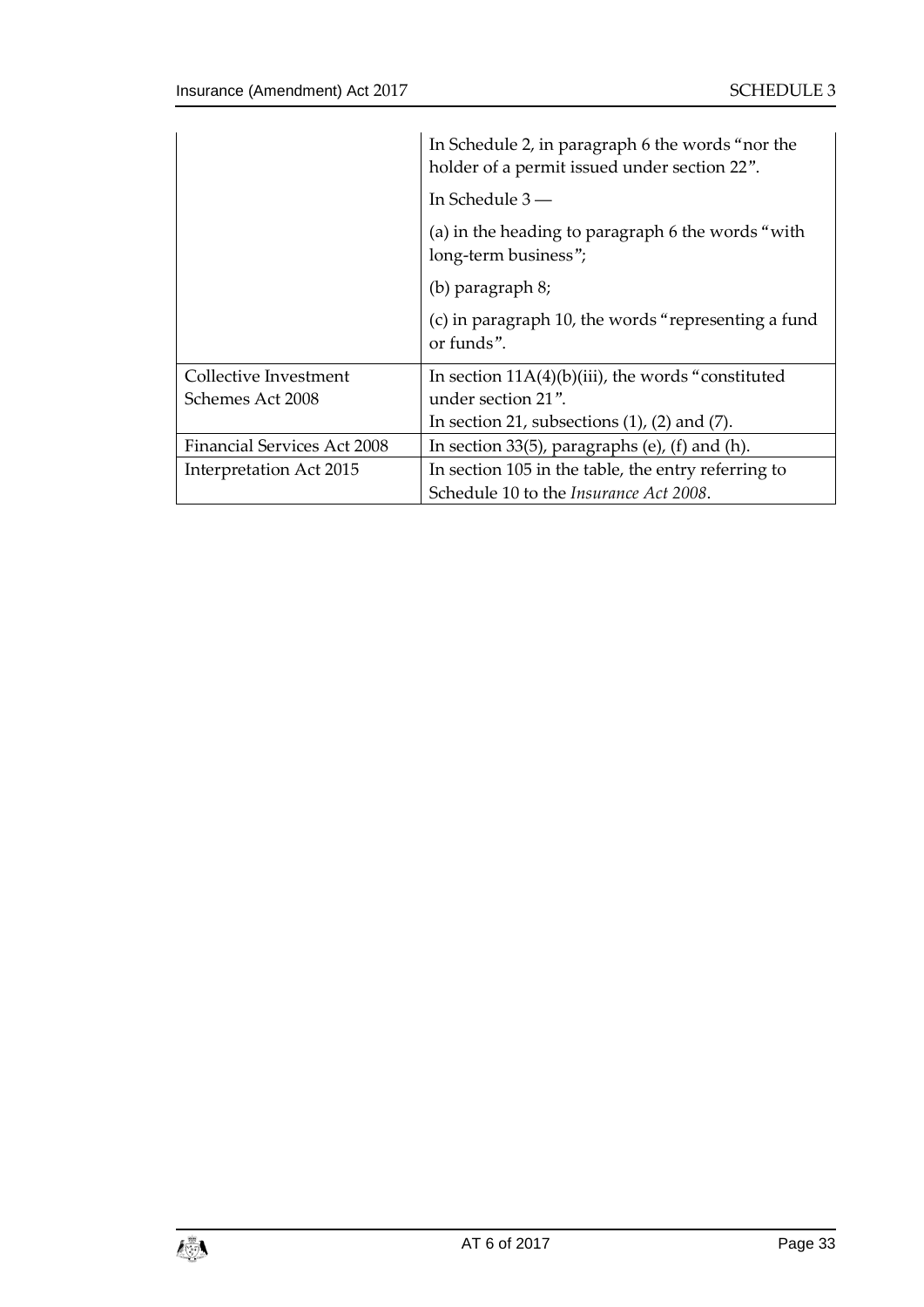|                                    | In Schedule 2, in paragraph 6 the words "nor the<br>holder of a permit issued under section 22". |
|------------------------------------|--------------------------------------------------------------------------------------------------|
|                                    | In Schedule $3-$                                                                                 |
|                                    | (a) in the heading to paragraph 6 the words "with<br>long-term business";                        |
|                                    | (b) paragraph 8;                                                                                 |
|                                    | (c) in paragraph 10, the words "representing a fund<br>or funds".                                |
| Collective Investment              | In section $11A(4)(b)(iii)$ , the words "constituted"                                            |
| Schemes Act 2008                   | under section 21".                                                                               |
|                                    | In section 21, subsections $(1)$ , $(2)$ and $(7)$ .                                             |
| <b>Financial Services Act 2008</b> | In section $33(5)$ , paragraphs (e), (f) and (h).                                                |
| Interpretation Act 2015            | In section 105 in the table, the entry referring to                                              |
|                                    | Schedule 10 to the <i>Insurance Act</i> 2008.                                                    |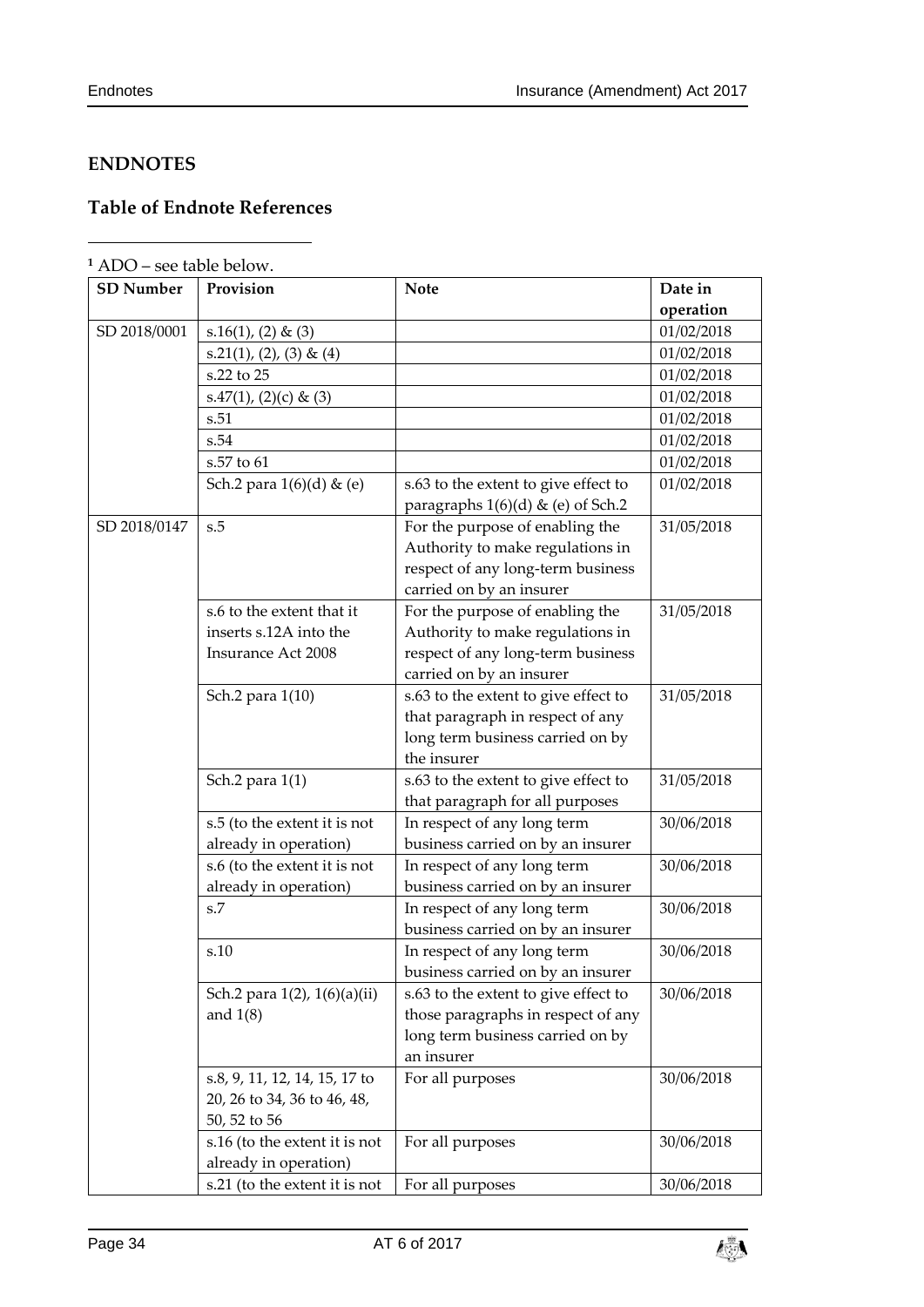-

## <span id="page-33-0"></span>**ENDNOTES**

# <span id="page-33-1"></span>**Table of Endnote References**

|  | $1$ ADO – see table below. |
|--|----------------------------|
|--|----------------------------|

| <b>SD Number</b> | Provision                     | <b>Note</b>                          | Date in    |
|------------------|-------------------------------|--------------------------------------|------------|
|                  |                               |                                      | operation  |
| SD 2018/0001     | $s.16(1), (2)$ & (3)          |                                      | 01/02/2018 |
|                  | $s.21(1), (2), (3)$ & $(4)$   |                                      | 01/02/2018 |
|                  | s.22 to 25                    |                                      | 01/02/2018 |
|                  | s.47(1), (2)(c) & (3)         |                                      | 01/02/2018 |
|                  | s.51                          |                                      | 01/02/2018 |
|                  | s.54                          |                                      | 01/02/2018 |
|                  | s.57 to 61                    |                                      | 01/02/2018 |
|                  | Sch.2 para $1(6)(d)$ & (e)    | s.63 to the extent to give effect to | 01/02/2018 |
|                  |                               | paragraphs $1(6)(d)$ & (e) of Sch.2  |            |
| SD 2018/0147     | s.5                           | For the purpose of enabling the      | 31/05/2018 |
|                  |                               | Authority to make regulations in     |            |
|                  |                               | respect of any long-term business    |            |
|                  |                               | carried on by an insurer             |            |
|                  | s.6 to the extent that it     | For the purpose of enabling the      | 31/05/2018 |
|                  | inserts s.12A into the        | Authority to make regulations in     |            |
|                  | <b>Insurance Act 2008</b>     | respect of any long-term business    |            |
|                  |                               | carried on by an insurer             |            |
|                  | Sch.2 para 1(10)              | s.63 to the extent to give effect to | 31/05/2018 |
|                  |                               | that paragraph in respect of any     |            |
|                  |                               | long term business carried on by     |            |
|                  |                               | the insurer                          |            |
|                  | Sch.2 para 1(1)               | s.63 to the extent to give effect to | 31/05/2018 |
|                  |                               | that paragraph for all purposes      |            |
|                  | s.5 (to the extent it is not  | In respect of any long term          | 30/06/2018 |
|                  | already in operation)         | business carried on by an insurer    |            |
|                  | s.6 (to the extent it is not  | In respect of any long term          | 30/06/2018 |
|                  | already in operation)         | business carried on by an insurer    |            |
|                  | s.7                           | In respect of any long term          | 30/06/2018 |
|                  |                               | business carried on by an insurer    |            |
|                  | s.10                          | In respect of any long term          | 30/06/2018 |
|                  |                               | business carried on by an insurer    |            |
|                  | Sch.2 para 1(2), 1(6)(a)(ii)  | s.63 to the extent to give effect to | 30/06/2018 |
|                  | and $1(8)$                    | those paragraphs in respect of any   |            |
|                  |                               | long term business carried on by     |            |
|                  |                               | an insurer                           |            |
|                  | s.8, 9, 11, 12, 14, 15, 17 to | For all purposes                     | 30/06/2018 |
|                  | 20, 26 to 34, 36 to 46, 48,   |                                      |            |
|                  | 50, 52 to 56                  |                                      |            |
|                  | s.16 (to the extent it is not | For all purposes                     | 30/06/2018 |
|                  | already in operation)         |                                      |            |
|                  | s.21 (to the extent it is not | For all purposes                     | 30/06/2018 |

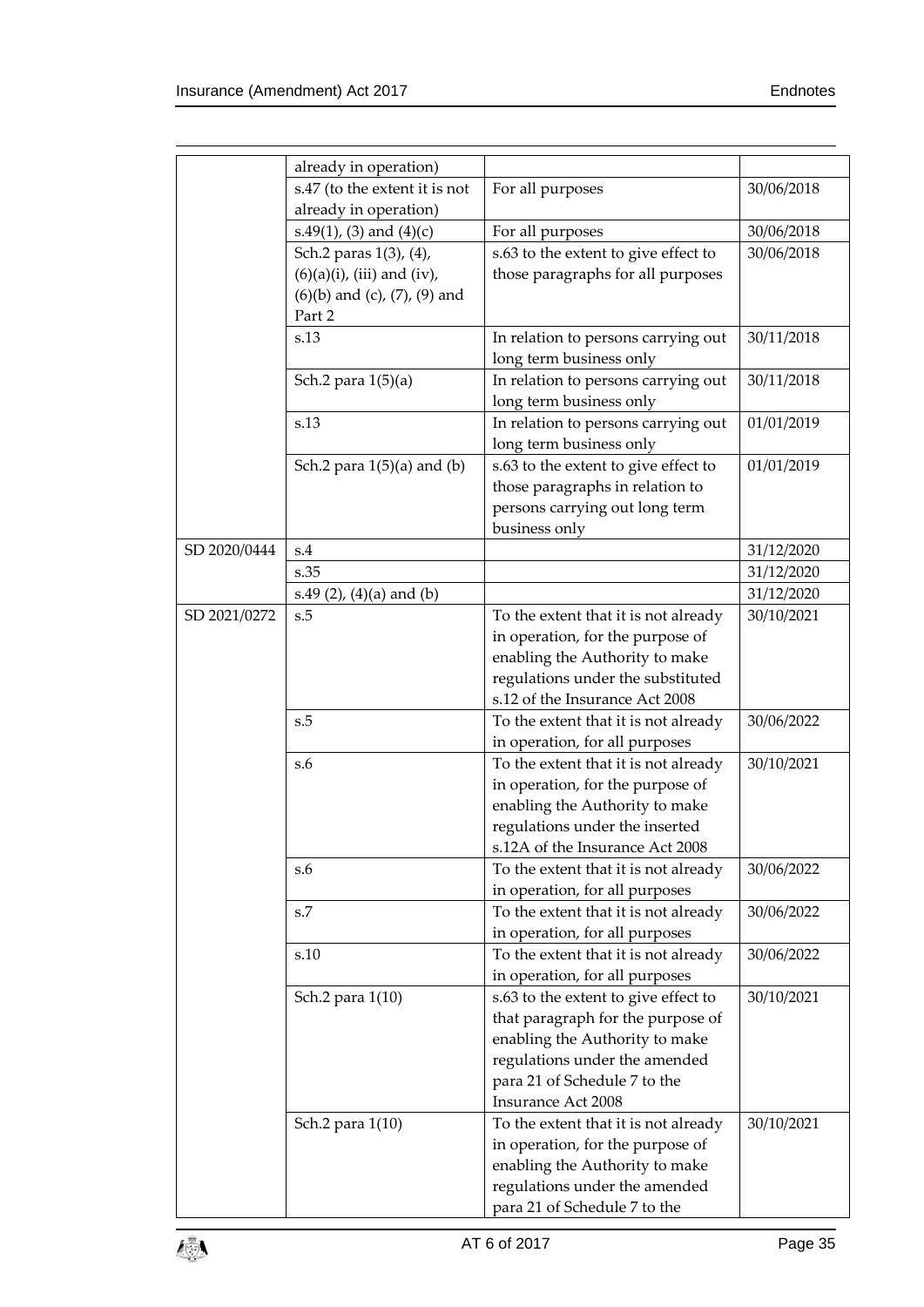|              | already in operation)                  |                                      |            |
|--------------|----------------------------------------|--------------------------------------|------------|
|              | s.47 (to the extent it is not          | For all purposes                     | 30/06/2018 |
|              | already in operation)                  |                                      |            |
|              | s.49(1), (3) and (4)(c)                | For all purposes                     | 30/06/2018 |
|              | Sch.2 paras 1(3), (4),                 | s.63 to the extent to give effect to | 30/06/2018 |
|              | $(6)(a)(i)$ , (iii) and (iv),          | those paragraphs for all purposes    |            |
|              | $(6)(b)$ and $(c)$ , $(7)$ , $(9)$ and |                                      |            |
|              | Part 2                                 |                                      |            |
|              | s.13                                   | In relation to persons carrying out  | 30/11/2018 |
|              |                                        | long term business only              |            |
|              | Sch.2 para 1(5)(a)                     | In relation to persons carrying out  | 30/11/2018 |
|              |                                        | long term business only              |            |
|              | s.13                                   | In relation to persons carrying out  | 01/01/2019 |
|              |                                        | long term business only              |            |
|              | Sch.2 para $1(5)(a)$ and $(b)$         | s.63 to the extent to give effect to | 01/01/2019 |
|              |                                        | those paragraphs in relation to      |            |
|              |                                        | persons carrying out long term       |            |
|              |                                        | business only                        |            |
| SD 2020/0444 | s.4                                    |                                      | 31/12/2020 |
|              | s.35                                   |                                      | 31/12/2020 |
|              | s.49 $(2)$ , $(4)(a)$ and $(b)$        |                                      | 31/12/2020 |
| SD 2021/0272 | s.5                                    | To the extent that it is not already | 30/10/2021 |
|              |                                        | in operation, for the purpose of     |            |
|              |                                        | enabling the Authority to make       |            |
|              |                                        | regulations under the substituted    |            |
|              |                                        | s.12 of the Insurance Act 2008       |            |
|              | s.5                                    | To the extent that it is not already | 30/06/2022 |
|              |                                        | in operation, for all purposes       |            |
|              | S.6                                    | To the extent that it is not already | 30/10/2021 |
|              |                                        | in operation, for the purpose of     |            |
|              |                                        | enabling the Authority to make       |            |
|              |                                        | regulations under the inserted       |            |
|              |                                        | s.12A of the Insurance Act 2008      |            |
|              | s.6                                    | To the extent that it is not already | 30/06/2022 |
|              |                                        | in operation, for all purposes       |            |
|              | s.7                                    | To the extent that it is not already | 30/06/2022 |
|              |                                        | in operation, for all purposes       |            |
|              | s.10                                   | To the extent that it is not already | 30/06/2022 |
|              |                                        | in operation, for all purposes       |            |
|              | Sch.2 para 1(10)                       | s.63 to the extent to give effect to | 30/10/2021 |
|              |                                        | that paragraph for the purpose of    |            |
|              |                                        | enabling the Authority to make       |            |
|              |                                        | regulations under the amended        |            |
|              |                                        | para 21 of Schedule 7 to the         |            |
|              |                                        | Insurance Act 2008                   |            |
|              | Sch.2 para 1(10)                       | To the extent that it is not already | 30/10/2021 |
|              |                                        | in operation, for the purpose of     |            |
|              |                                        |                                      |            |
|              |                                        | enabling the Authority to make       |            |
|              |                                        | regulations under the amended        |            |
|              |                                        | para 21 of Schedule 7 to the         |            |